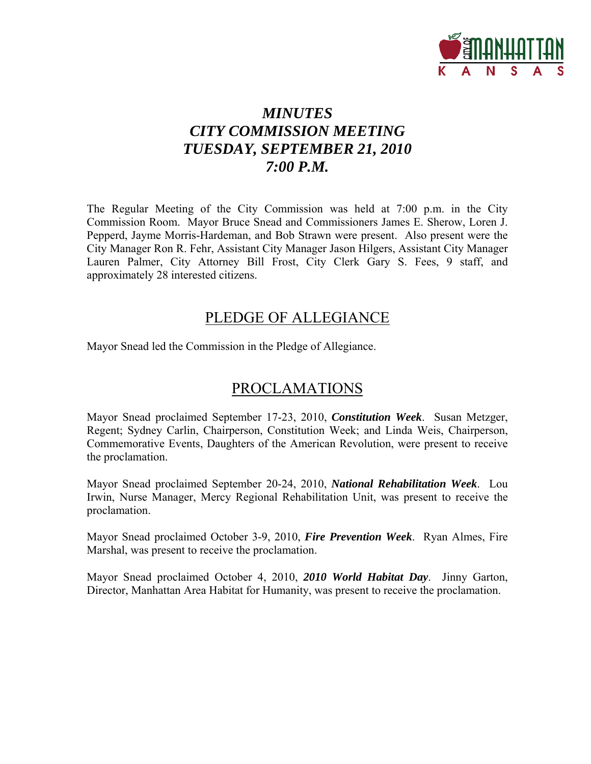

# *MINUTES CITY COMMISSION MEETING TUESDAY, SEPTEMBER 21, 2010 7:00 P.M.*

The Regular Meeting of the City Commission was held at 7:00 p.m. in the City Commission Room. Mayor Bruce Snead and Commissioners James E. Sherow, Loren J. Pepperd, Jayme Morris-Hardeman, and Bob Strawn were present. Also present were the City Manager Ron R. Fehr, Assistant City Manager Jason Hilgers, Assistant City Manager Lauren Palmer, City Attorney Bill Frost, City Clerk Gary S. Fees, 9 staff, and approximately 28 interested citizens.

# PLEDGE OF ALLEGIANCE

Mayor Snead led the Commission in the Pledge of Allegiance.

# PROCLAMATIONS

Mayor Snead proclaimed September 17-23, 2010, *Constitution Week*. Susan Metzger, Regent; Sydney Carlin, Chairperson, Constitution Week; and Linda Weis, Chairperson, Commemorative Events, Daughters of the American Revolution, were present to receive the proclamation.

Mayor Snead proclaimed September 20-24, 2010, *National Rehabilitation Week*. Lou Irwin, Nurse Manager, Mercy Regional Rehabilitation Unit, was present to receive the proclamation.

Mayor Snead proclaimed October 3-9, 2010, *Fire Prevention Week*. Ryan Almes, Fire Marshal, was present to receive the proclamation.

Mayor Snead proclaimed October 4, 2010, *2010 World Habitat Day*. Jinny Garton, Director, Manhattan Area Habitat for Humanity, was present to receive the proclamation.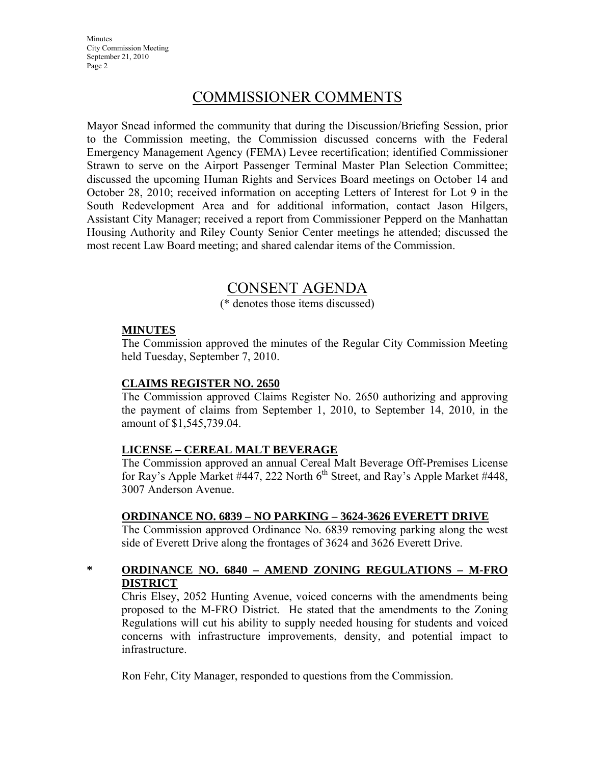**Minutes** City Commission Meeting September 21, 2010 Page 2

# COMMISSIONER COMMENTS

Mayor Snead informed the community that during the Discussion/Briefing Session, prior to the Commission meeting, the Commission discussed concerns with the Federal Emergency Management Agency (FEMA) Levee recertification; identified Commissioner Strawn to serve on the Airport Passenger Terminal Master Plan Selection Committee; discussed the upcoming Human Rights and Services Board meetings on October 14 and October 28, 2010; received information on accepting Letters of Interest for Lot 9 in the South Redevelopment Area and for additional information, contact Jason Hilgers, Assistant City Manager; received a report from Commissioner Pepperd on the Manhattan Housing Authority and Riley County Senior Center meetings he attended; discussed the most recent Law Board meeting; and shared calendar items of the Commission.

# CONSENT AGENDA

(\* denotes those items discussed)

#### **MINUTES**

The Commission approved the minutes of the Regular City Commission Meeting held Tuesday, September 7, 2010.

### **CLAIMS REGISTER NO. 2650**

The Commission approved Claims Register No. 2650 authorizing and approving the payment of claims from September 1, 2010, to September 14, 2010, in the amount of \$1,545,739.04.

# **LICENSE – CEREAL MALT BEVERAGE**

The Commission approved an annual Cereal Malt Beverage Off-Premises License for Ray's Apple Market #447, 222 North  $6<sup>th</sup>$  Street, and Ray's Apple Market #448, 3007 Anderson Avenue.

#### **ORDINANCE NO. 6839 – NO PARKING – 3624-3626 EVERETT DRIVE**

The Commission approved Ordinance No. 6839 removing parking along the west side of Everett Drive along the frontages of 3624 and 3626 Everett Drive.

# **\* ORDINANCE NO. 6840 – AMEND ZONING REGULATIONS – M-FRO DISTRICT**

Chris Elsey, 2052 Hunting Avenue, voiced concerns with the amendments being proposed to the M-FRO District. He stated that the amendments to the Zoning Regulations will cut his ability to supply needed housing for students and voiced concerns with infrastructure improvements, density, and potential impact to infrastructure.

Ron Fehr, City Manager, responded to questions from the Commission.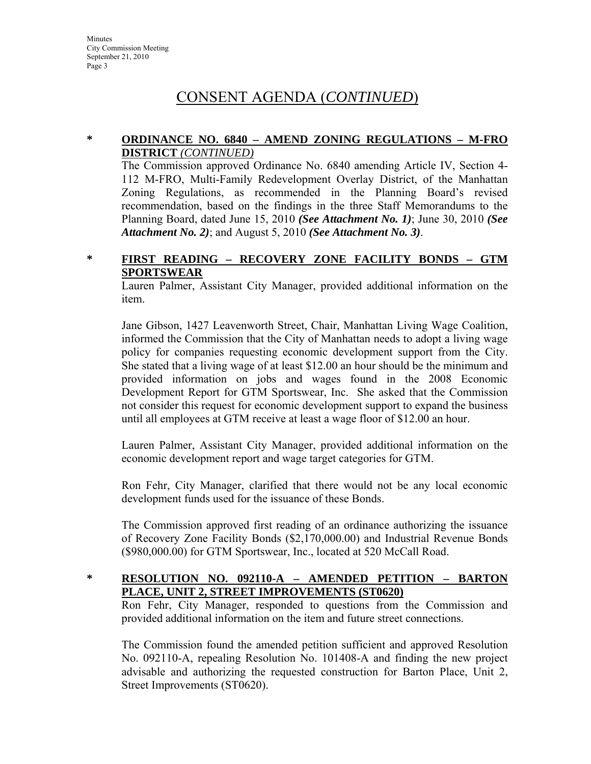# CONSENT AGENDA (*CONTINUED*)

### **\* ORDINANCE NO. 6840 – AMEND ZONING REGULATIONS – M-FRO DISTRICT** *(CONTINUED)*

The Commission approved Ordinance No. 6840 amending Article IV, Section 4- 112 M-FRO, Multi-Family Redevelopment Overlay District, of the Manhattan Zoning Regulations, as recommended in the Planning Board's revised recommendation, based on the findings in the three Staff Memorandums to the Planning Board, dated June 15, 2010 *(See Attachment No. 1)*; June 30, 2010 *(See Attachment No. 2)*; and August 5, 2010 *(See Attachment No. 3)*.

# **\* FIRST READING – RECOVERY ZONE FACILITY BONDS – GTM SPORTSWEAR**

Lauren Palmer, Assistant City Manager, provided additional information on the item.

Jane Gibson, 1427 Leavenworth Street, Chair, Manhattan Living Wage Coalition, informed the Commission that the City of Manhattan needs to adopt a living wage policy for companies requesting economic development support from the City. She stated that a living wage of at least \$12.00 an hour should be the minimum and provided information on jobs and wages found in the 2008 Economic Development Report for GTM Sportswear, Inc. She asked that the Commission not consider this request for economic development support to expand the business until all employees at GTM receive at least a wage floor of \$12.00 an hour.

Lauren Palmer, Assistant City Manager, provided additional information on the economic development report and wage target categories for GTM.

Ron Fehr, City Manager, clarified that there would not be any local economic development funds used for the issuance of these Bonds.

The Commission approved first reading of an ordinance authorizing the issuance of Recovery Zone Facility Bonds (\$2,170,000.00) and Industrial Revenue Bonds (\$980,000.00) for GTM Sportswear, Inc., located at 520 McCall Road.

# **\* RESOLUTION NO. 092110-A – AMENDED PETITION – BARTON PLACE, UNIT 2, STREET IMPROVEMENTS (ST0620)**

Ron Fehr, City Manager, responded to questions from the Commission and provided additional information on the item and future street connections.

The Commission found the amended petition sufficient and approved Resolution No. 092110-A, repealing Resolution No. 101408-A and finding the new project advisable and authorizing the requested construction for Barton Place, Unit 2, Street Improvements (ST0620).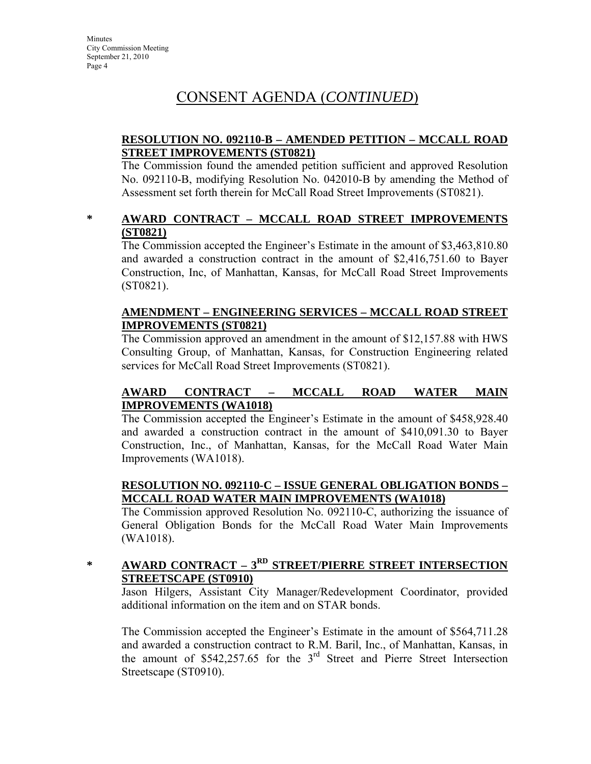# CONSENT AGENDA (*CONTINUED*)

# **RESOLUTION NO. 092110-B – AMENDED PETITION – MCCALL ROAD STREET IMPROVEMENTS (ST0821)**

The Commission found the amended petition sufficient and approved Resolution No. 092110-B, modifying Resolution No. 042010-B by amending the Method of Assessment set forth therein for McCall Road Street Improvements (ST0821).

### **\* AWARD CONTRACT – MCCALL ROAD STREET IMPROVEMENTS (ST0821)**

The Commission accepted the Engineer's Estimate in the amount of \$3,463,810.80 and awarded a construction contract in the amount of \$2,416,751.60 to Bayer Construction, Inc, of Manhattan, Kansas, for McCall Road Street Improvements (ST0821).

# **AMENDMENT – ENGINEERING SERVICES – MCCALL ROAD STREET IMPROVEMENTS (ST0821)**

The Commission approved an amendment in the amount of \$12,157.88 with HWS Consulting Group, of Manhattan, Kansas, for Construction Engineering related services for McCall Road Street Improvements (ST0821).

# **AWARD CONTRACT – MCCALL ROAD WATER MAIN IMPROVEMENTS (WA1018)**

The Commission accepted the Engineer's Estimate in the amount of \$458,928.40 and awarded a construction contract in the amount of \$410,091.30 to Bayer Construction, Inc., of Manhattan, Kansas, for the McCall Road Water Main Improvements (WA1018).

# **RESOLUTION NO. 092110-C – ISSUE GENERAL OBLIGATION BONDS – MCCALL ROAD WATER MAIN IMPROVEMENTS (WA1018)**

The Commission approved Resolution No. 092110-C, authorizing the issuance of General Obligation Bonds for the McCall Road Water Main Improvements (WA1018).

# **\* AWARD CONTRACT – 3RD STREET/PIERRE STREET INTERSECTION STREETSCAPE (ST0910)**

Jason Hilgers, Assistant City Manager/Redevelopment Coordinator, provided additional information on the item and on STAR bonds.

The Commission accepted the Engineer's Estimate in the amount of \$564,711.28 and awarded a construction contract to R.M. Baril, Inc., of Manhattan, Kansas, in the amount of \$542,257.65 for the 3rd Street and Pierre Street Intersection Streetscape (ST0910).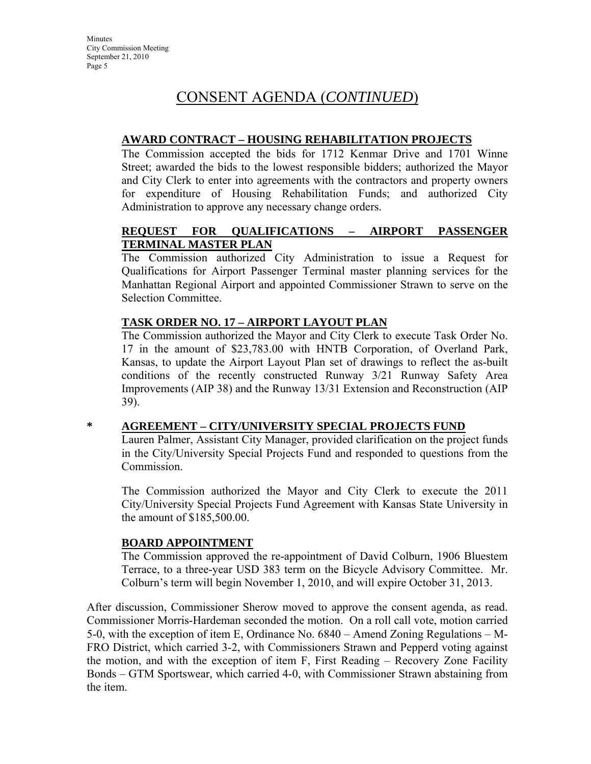# CONSENT AGENDA (*CONTINUED*)

# **AWARD CONTRACT – HOUSING REHABILITATION PROJECTS**

The Commission accepted the bids for 1712 Kenmar Drive and 1701 Winne Street; awarded the bids to the lowest responsible bidders; authorized the Mayor and City Clerk to enter into agreements with the contractors and property owners for expenditure of Housing Rehabilitation Funds; and authorized City Administration to approve any necessary change orders.

# **REQUEST FOR QUALIFICATIONS – AIRPORT PASSENGER TERMINAL MASTER PLAN**

The Commission authorized City Administration to issue a Request for Qualifications for Airport Passenger Terminal master planning services for the Manhattan Regional Airport and appointed Commissioner Strawn to serve on the Selection Committee.

# **TASK ORDER NO. 17 – AIRPORT LAYOUT PLAN**

The Commission authorized the Mayor and City Clerk to execute Task Order No. 17 in the amount of \$23,783.00 with HNTB Corporation, of Overland Park, Kansas, to update the Airport Layout Plan set of drawings to reflect the as-built conditions of the recently constructed Runway 3/21 Runway Safety Area Improvements (AIP 38) and the Runway 13/31 Extension and Reconstruction (AIP 39).

# **\* AGREEMENT – CITY/UNIVERSITY SPECIAL PROJECTS FUND**

Lauren Palmer, Assistant City Manager, provided clarification on the project funds in the City/University Special Projects Fund and responded to questions from the **Commission** 

The Commission authorized the Mayor and City Clerk to execute the 2011 City/University Special Projects Fund Agreement with Kansas State University in the amount of \$185,500.00.

# **BOARD APPOINTMENT**

The Commission approved the re-appointment of David Colburn, 1906 Bluestem Terrace, to a three-year USD 383 term on the Bicycle Advisory Committee. Mr. Colburn's term will begin November 1, 2010, and will expire October 31, 2013.

After discussion, Commissioner Sherow moved to approve the consent agenda, as read. Commissioner Morris-Hardeman seconded the motion. On a roll call vote, motion carried 5-0, with the exception of item E, Ordinance No. 6840 – Amend Zoning Regulations – M-FRO District, which carried 3-2, with Commissioners Strawn and Pepperd voting against the motion, and with the exception of item F, First Reading – Recovery Zone Facility Bonds – GTM Sportswear, which carried 4-0, with Commissioner Strawn abstaining from the item.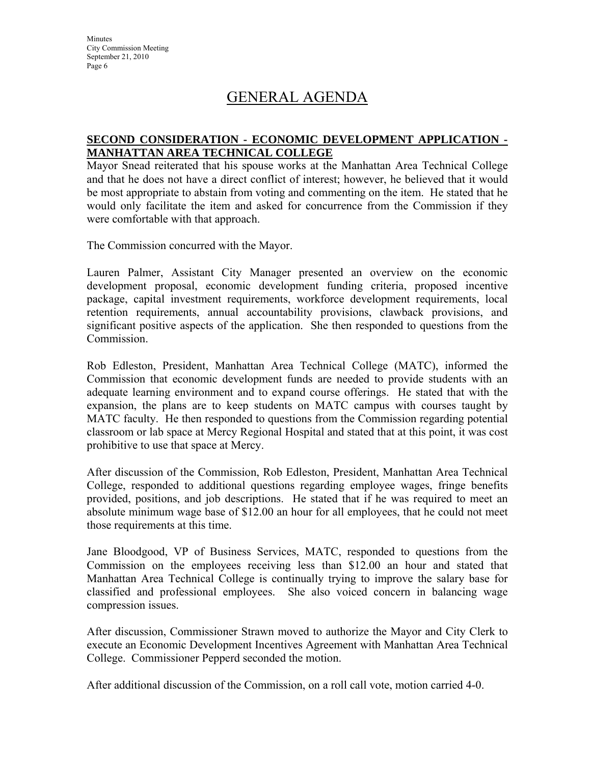**Minutes** City Commission Meeting September 21, 2010 Page 6

# GENERAL AGENDA

### **SECOND CONSIDERATION - ECONOMIC DEVELOPMENT APPLICATION - MANHATTAN AREA TECHNICAL COLLEGE**

Mayor Snead reiterated that his spouse works at the Manhattan Area Technical College and that he does not have a direct conflict of interest; however, he believed that it would be most appropriate to abstain from voting and commenting on the item. He stated that he would only facilitate the item and asked for concurrence from the Commission if they were comfortable with that approach.

The Commission concurred with the Mayor.

Lauren Palmer, Assistant City Manager presented an overview on the economic development proposal, economic development funding criteria, proposed incentive package, capital investment requirements, workforce development requirements, local retention requirements, annual accountability provisions, clawback provisions, and significant positive aspects of the application. She then responded to questions from the Commission.

Rob Edleston, President, Manhattan Area Technical College (MATC), informed the Commission that economic development funds are needed to provide students with an adequate learning environment and to expand course offerings. He stated that with the expansion, the plans are to keep students on MATC campus with courses taught by MATC faculty. He then responded to questions from the Commission regarding potential classroom or lab space at Mercy Regional Hospital and stated that at this point, it was cost prohibitive to use that space at Mercy.

After discussion of the Commission, Rob Edleston, President, Manhattan Area Technical College, responded to additional questions regarding employee wages, fringe benefits provided, positions, and job descriptions. He stated that if he was required to meet an absolute minimum wage base of \$12.00 an hour for all employees, that he could not meet those requirements at this time.

Jane Bloodgood, VP of Business Services, MATC, responded to questions from the Commission on the employees receiving less than \$12.00 an hour and stated that Manhattan Area Technical College is continually trying to improve the salary base for classified and professional employees. She also voiced concern in balancing wage compression issues.

After discussion, Commissioner Strawn moved to authorize the Mayor and City Clerk to execute an Economic Development Incentives Agreement with Manhattan Area Technical College. Commissioner Pepperd seconded the motion.

After additional discussion of the Commission, on a roll call vote, motion carried 4-0.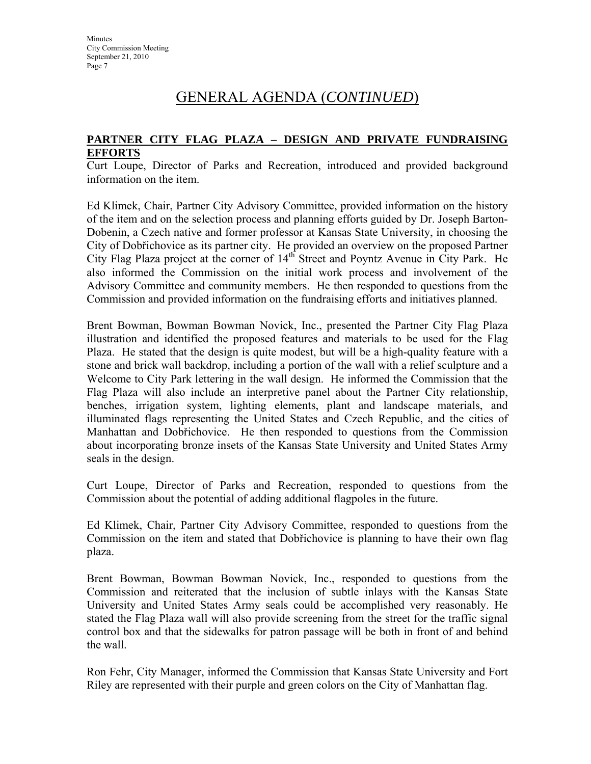# GENERAL AGENDA (*CONTINUED*)

# **PARTNER CITY FLAG PLAZA – DESIGN AND PRIVATE FUNDRAISING EFFORTS**

Curt Loupe, Director of Parks and Recreation, introduced and provided background information on the item.

Ed Klimek, Chair, Partner City Advisory Committee, provided information on the history of the item and on the selection process and planning efforts guided by Dr. Joseph Barton-Dobenin, a Czech native and former professor at Kansas State University, in choosing the City of Dobřichovice as its partner city. He provided an overview on the proposed Partner City Flag Plaza project at the corner of 14<sup>th</sup> Street and Poyntz Avenue in City Park. He also informed the Commission on the initial work process and involvement of the Advisory Committee and community members. He then responded to questions from the Commission and provided information on the fundraising efforts and initiatives planned.

Brent Bowman, Bowman Bowman Novick, Inc., presented the Partner City Flag Plaza illustration and identified the proposed features and materials to be used for the Flag Plaza. He stated that the design is quite modest, but will be a high-quality feature with a stone and brick wall backdrop, including a portion of the wall with a relief sculpture and a Welcome to City Park lettering in the wall design. He informed the Commission that the Flag Plaza will also include an interpretive panel about the Partner City relationship, benches, irrigation system, lighting elements, plant and landscape materials, and illuminated flags representing the United States and Czech Republic, and the cities of Manhattan and Dobřichovice. He then responded to questions from the Commission about incorporating bronze insets of the Kansas State University and United States Army seals in the design.

Curt Loupe, Director of Parks and Recreation, responded to questions from the Commission about the potential of adding additional flagpoles in the future.

Ed Klimek, Chair, Partner City Advisory Committee, responded to questions from the Commission on the item and stated that Dobřichovice is planning to have their own flag plaza.

Brent Bowman, Bowman Bowman Novick, Inc., responded to questions from the Commission and reiterated that the inclusion of subtle inlays with the Kansas State University and United States Army seals could be accomplished very reasonably. He stated the Flag Plaza wall will also provide screening from the street for the traffic signal control box and that the sidewalks for patron passage will be both in front of and behind the wall.

Ron Fehr, City Manager, informed the Commission that Kansas State University and Fort Riley are represented with their purple and green colors on the City of Manhattan flag.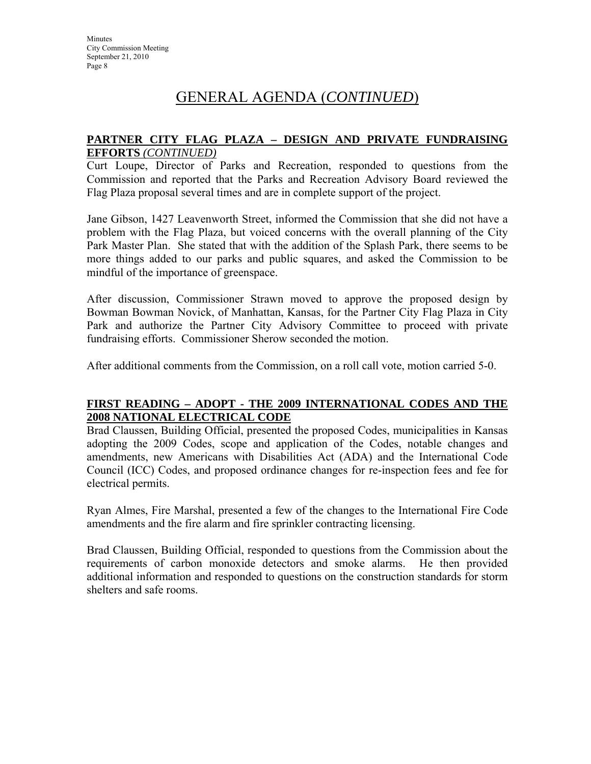# GENERAL AGENDA (*CONTINUED*)

#### **PARTNER CITY FLAG PLAZA – DESIGN AND PRIVATE FUNDRAISING EFFORTS** *(CONTINUED)*

Curt Loupe, Director of Parks and Recreation, responded to questions from the Commission and reported that the Parks and Recreation Advisory Board reviewed the Flag Plaza proposal several times and are in complete support of the project.

Jane Gibson, 1427 Leavenworth Street, informed the Commission that she did not have a problem with the Flag Plaza, but voiced concerns with the overall planning of the City Park Master Plan. She stated that with the addition of the Splash Park, there seems to be more things added to our parks and public squares, and asked the Commission to be mindful of the importance of greenspace.

After discussion, Commissioner Strawn moved to approve the proposed design by Bowman Bowman Novick, of Manhattan, Kansas, for the Partner City Flag Plaza in City Park and authorize the Partner City Advisory Committee to proceed with private fundraising efforts. Commissioner Sherow seconded the motion.

After additional comments from the Commission, on a roll call vote, motion carried 5-0.

# **FIRST READING – ADOPT - THE 2009 INTERNATIONAL CODES AND THE 2008 NATIONAL ELECTRICAL CODE**

Brad Claussen, Building Official, presented the proposed Codes, municipalities in Kansas adopting the 2009 Codes, scope and application of the Codes, notable changes and amendments, new Americans with Disabilities Act (ADA) and the International Code Council (ICC) Codes, and proposed ordinance changes for re-inspection fees and fee for electrical permits.

Ryan Almes, Fire Marshal, presented a few of the changes to the International Fire Code amendments and the fire alarm and fire sprinkler contracting licensing.

Brad Claussen, Building Official, responded to questions from the Commission about the requirements of carbon monoxide detectors and smoke alarms. He then provided additional information and responded to questions on the construction standards for storm shelters and safe rooms.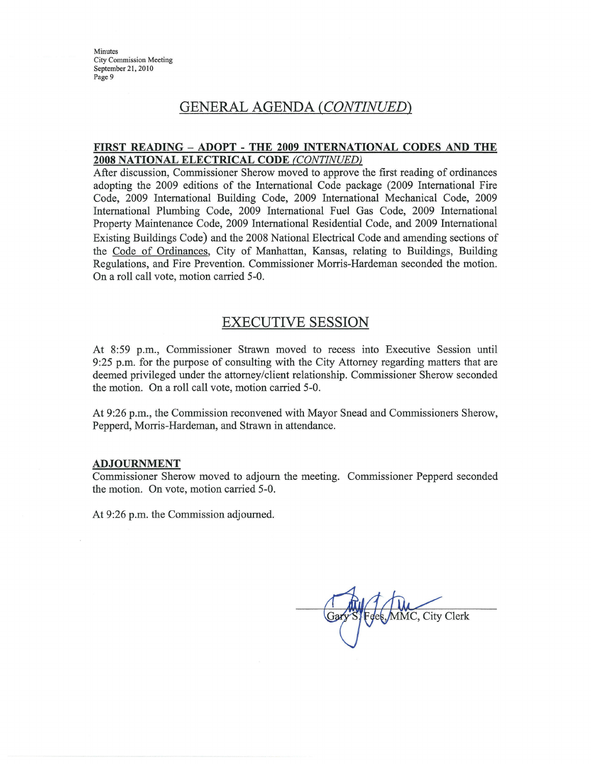Minutes City Commission Meeting September 21, 2010 Page 9

# **GENERAL AGENDA (CONTINUED)**

#### FIRST READING - ADOPT - THE 2009 INTERNATIONAL CODES AND THE 2008 NATIONAL ELECTRICAL CODE (CONTINUED)

After discussion, Commissioner Sherow moved to approve the first reading of ordinances adopting the 2009 editions of the International Code package (2009 International Fire Code, 2009 International Building Code, 2009 International Mechanical Code, 2009 International Plumbing Code, 2009 International Fuel Gas Code, 2009 International Property Maintenance Code, 2009 International Residential Code, and 2009 International Existing Buildings Code) and the 2008 National Electrical Code and amending sections of the Code of Ordinances, City of Manhattan, Kansas, relating to Buildings, Building Regulations, and Fire Prevention. Commissioner Morris-Hardeman seconded the motion. On a roll call vote, motion carried 5-0.

# **EXECUTIVE SESSION**

At 8:59 p.m., Commissioner Strawn moved to recess into Executive Session until 9:25 p.m. for the purpose of consulting with the City Attorney regarding matters that are deemed privileged under the attorney/client relationship. Commissioner Sherow seconded the motion. On a roll call vote, motion carried 5-0.

At 9:26 p.m., the Commission reconvened with Mayor Snead and Commissioners Sherow, Pepperd, Morris-Hardeman, and Strawn in attendance.

#### **ADJOURNMENT**

Commissioner Sherow moved to adjourn the meeting. Commissioner Pepperd seconded the motion. On vote, motion carried 5-0.

At 9:26 p.m. the Commission adjourned.

MMC, City Clerk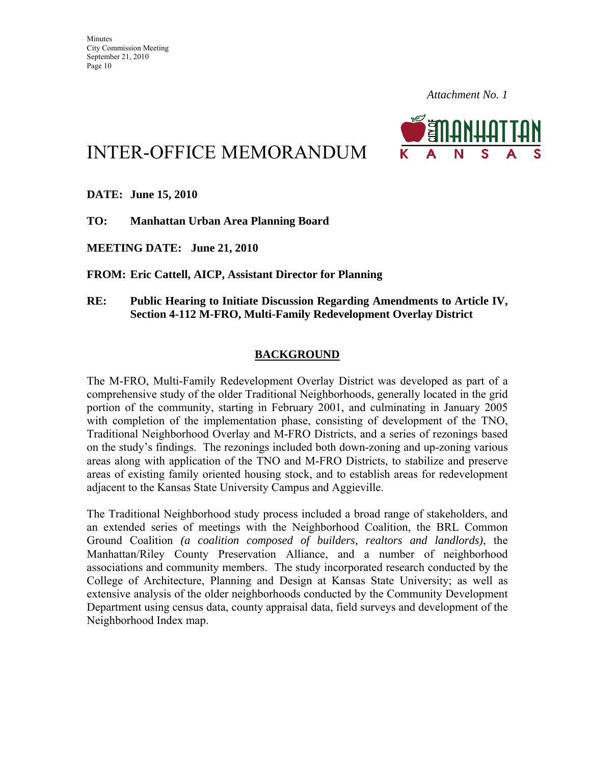

# INTER-OFFICE MEMORANDUM

**DATE: June 15, 2010** 

**TO: Manhattan Urban Area Planning Board** 

**MEETING DATE: June 21, 2010** 

**FROM: Eric Cattell, AICP, Assistant Director for Planning** 

#### **RE: Public Hearing to Initiate Discussion Regarding Amendments to Article IV, Section 4-112 M-FRO, Multi-Family Redevelopment Overlay District**

### **BACKGROUND**

The M-FRO, Multi-Family Redevelopment Overlay District was developed as part of a comprehensive study of the older Traditional Neighborhoods, generally located in the grid portion of the community, starting in February 2001, and culminating in January 2005 with completion of the implementation phase, consisting of development of the TNO, Traditional Neighborhood Overlay and M-FRO Districts, and a series of rezonings based on the study's findings. The rezonings included both down-zoning and up-zoning various areas along with application of the TNO and M-FRO Districts, to stabilize and preserve areas of existing family oriented housing stock, and to establish areas for redevelopment adjacent to the Kansas State University Campus and Aggieville.

The Traditional Neighborhood study process included a broad range of stakeholders, and an extended series of meetings with the Neighborhood Coalition, the BRL Common Ground Coalition *(a coalition composed of builders, realtors and landlords)*, the Manhattan/Riley County Preservation Alliance, and a number of neighborhood associations and community members. The study incorporated research conducted by the College of Architecture, Planning and Design at Kansas State University; as well as extensive analysis of the older neighborhoods conducted by the Community Development Department using census data, county appraisal data, field surveys and development of the Neighborhood Index map.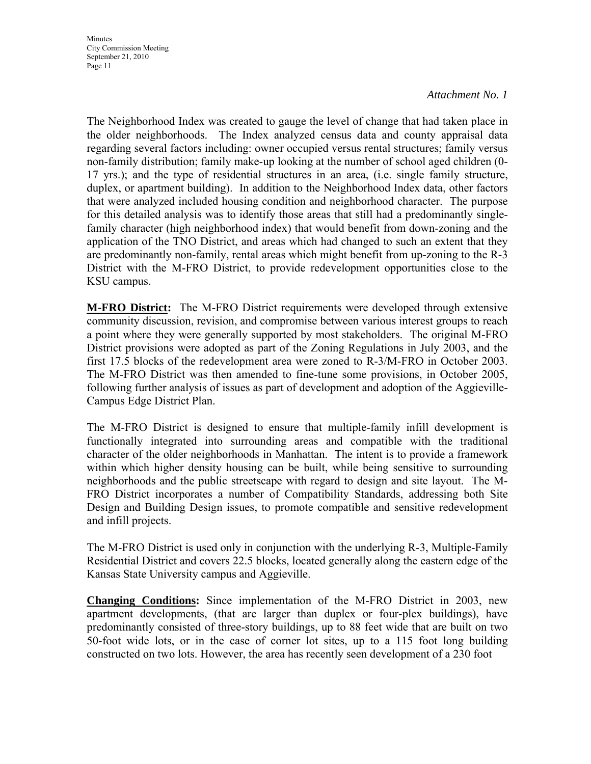The Neighborhood Index was created to gauge the level of change that had taken place in the older neighborhoods. The Index analyzed census data and county appraisal data regarding several factors including: owner occupied versus rental structures; family versus non-family distribution; family make-up looking at the number of school aged children (0- 17 yrs.); and the type of residential structures in an area, (i.e. single family structure, duplex, or apartment building). In addition to the Neighborhood Index data, other factors that were analyzed included housing condition and neighborhood character. The purpose for this detailed analysis was to identify those areas that still had a predominantly singlefamily character (high neighborhood index) that would benefit from down-zoning and the application of the TNO District, and areas which had changed to such an extent that they are predominantly non-family, rental areas which might benefit from up-zoning to the R-3 District with the M-FRO District, to provide redevelopment opportunities close to the KSU campus.

**M-FRO District:** The M-FRO District requirements were developed through extensive community discussion, revision, and compromise between various interest groups to reach a point where they were generally supported by most stakeholders. The original M-FRO District provisions were adopted as part of the Zoning Regulations in July 2003, and the first 17.5 blocks of the redevelopment area were zoned to R-3/M-FRO in October 2003. The M-FRO District was then amended to fine-tune some provisions, in October 2005, following further analysis of issues as part of development and adoption of the Aggieville-Campus Edge District Plan.

The M-FRO District is designed to ensure that multiple-family infill development is functionally integrated into surrounding areas and compatible with the traditional character of the older neighborhoods in Manhattan. The intent is to provide a framework within which higher density housing can be built, while being sensitive to surrounding neighborhoods and the public streetscape with regard to design and site layout. The M-FRO District incorporates a number of Compatibility Standards, addressing both Site Design and Building Design issues, to promote compatible and sensitive redevelopment and infill projects.

The M-FRO District is used only in conjunction with the underlying R-3, Multiple-Family Residential District and covers 22.5 blocks, located generally along the eastern edge of the Kansas State University campus and Aggieville.

**Changing Conditions:** Since implementation of the M-FRO District in 2003, new apartment developments, (that are larger than duplex or four-plex buildings), have predominantly consisted of three-story buildings, up to 88 feet wide that are built on two 50-foot wide lots, or in the case of corner lot sites, up to a 115 foot long building constructed on two lots. However, the area has recently seen development of a 230 foot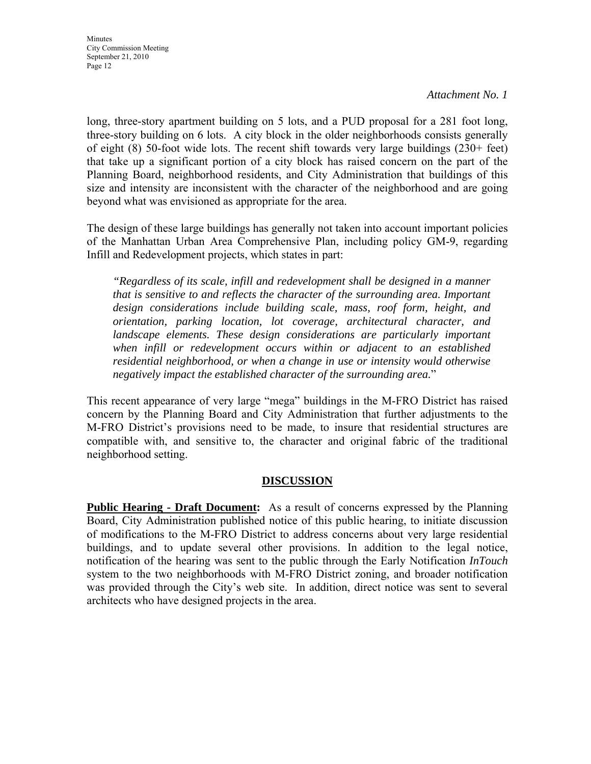long, three-story apartment building on 5 lots, and a PUD proposal for a 281 foot long, three-story building on 6 lots. A city block in the older neighborhoods consists generally of eight (8) 50-foot wide lots. The recent shift towards very large buildings (230+ feet) that take up a significant portion of a city block has raised concern on the part of the Planning Board, neighborhood residents, and City Administration that buildings of this size and intensity are inconsistent with the character of the neighborhood and are going beyond what was envisioned as appropriate for the area.

The design of these large buildings has generally not taken into account important policies of the Manhattan Urban Area Comprehensive Plan, including policy GM-9, regarding Infill and Redevelopment projects, which states in part:

*"Regardless of its scale, infill and redevelopment shall be designed in a manner that is sensitive to and reflects the character of the surrounding area. Important design considerations include building scale, mass, roof form, height, and orientation, parking location, lot coverage, architectural character, and landscape elements. These design considerations are particularly important when infill or redevelopment occurs within or adjacent to an established residential neighborhood, or when a change in use or intensity would otherwise negatively impact the established character of the surrounding area.*"

This recent appearance of very large "mega" buildings in the M-FRO District has raised concern by the Planning Board and City Administration that further adjustments to the M-FRO District's provisions need to be made, to insure that residential structures are compatible with, and sensitive to, the character and original fabric of the traditional neighborhood setting.

# **DISCUSSION**

**Public Hearing - Draft Document:** As a result of concerns expressed by the Planning Board, City Administration published notice of this public hearing, to initiate discussion of modifications to the M-FRO District to address concerns about very large residential buildings, and to update several other provisions. In addition to the legal notice, notification of the hearing was sent to the public through the Early Notification *InTouch* system to the two neighborhoods with M-FRO District zoning, and broader notification was provided through the City's web site. In addition, direct notice was sent to several architects who have designed projects in the area.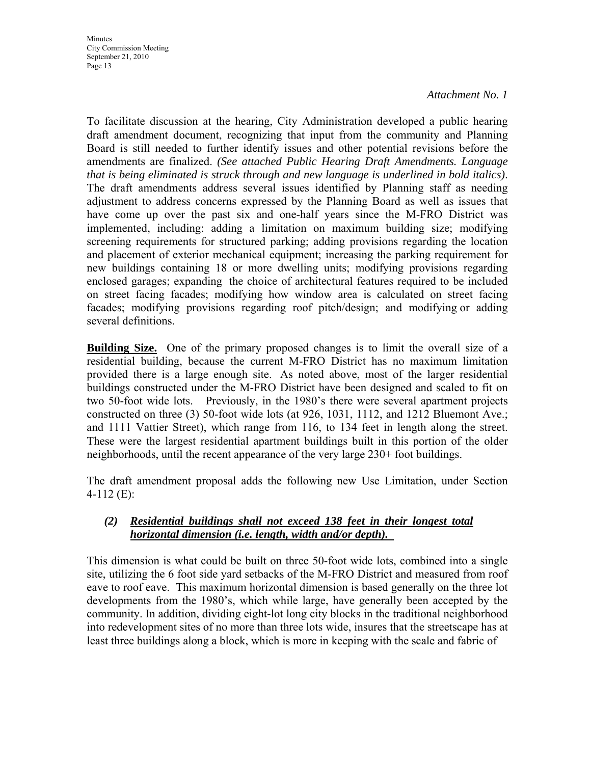To facilitate discussion at the hearing, City Administration developed a public hearing draft amendment document, recognizing that input from the community and Planning Board is still needed to further identify issues and other potential revisions before the amendments are finalized. *(See attached Public Hearing Draft Amendments. Language that is being eliminated is struck through and new language is underlined in bold italics)*. The draft amendments address several issues identified by Planning staff as needing adjustment to address concerns expressed by the Planning Board as well as issues that have come up over the past six and one-half years since the M-FRO District was implemented, including: adding a limitation on maximum building size; modifying screening requirements for structured parking; adding provisions regarding the location and placement of exterior mechanical equipment; increasing the parking requirement for new buildings containing 18 or more dwelling units; modifying provisions regarding enclosed garages; expanding the choice of architectural features required to be included on street facing facades; modifying how window area is calculated on street facing facades; modifying provisions regarding roof pitch/design; and modifying or adding several definitions.

**Building Size.** One of the primary proposed changes is to limit the overall size of a residential building, because the current M-FRO District has no maximum limitation provided there is a large enough site. As noted above, most of the larger residential buildings constructed under the M-FRO District have been designed and scaled to fit on two 50-foot wide lots. Previously, in the 1980's there were several apartment projects constructed on three (3) 50-foot wide lots (at 926, 1031, 1112, and 1212 Bluemont Ave.; and 1111 Vattier Street), which range from 116, to 134 feet in length along the street. These were the largest residential apartment buildings built in this portion of the older neighborhoods, until the recent appearance of the very large 230+ foot buildings.

The draft amendment proposal adds the following new Use Limitation, under Section 4-112 (E):

# *(2) Residential buildings shall not exceed 138 feet in their longest total horizontal dimension (i.e. length, width and/or depth).*

This dimension is what could be built on three 50-foot wide lots, combined into a single site, utilizing the 6 foot side yard setbacks of the M-FRO District and measured from roof eave to roof eave. This maximum horizontal dimension is based generally on the three lot developments from the 1980's, which while large, have generally been accepted by the community. In addition, dividing eight-lot long city blocks in the traditional neighborhood into redevelopment sites of no more than three lots wide, insures that the streetscape has at least three buildings along a block, which is more in keeping with the scale and fabric of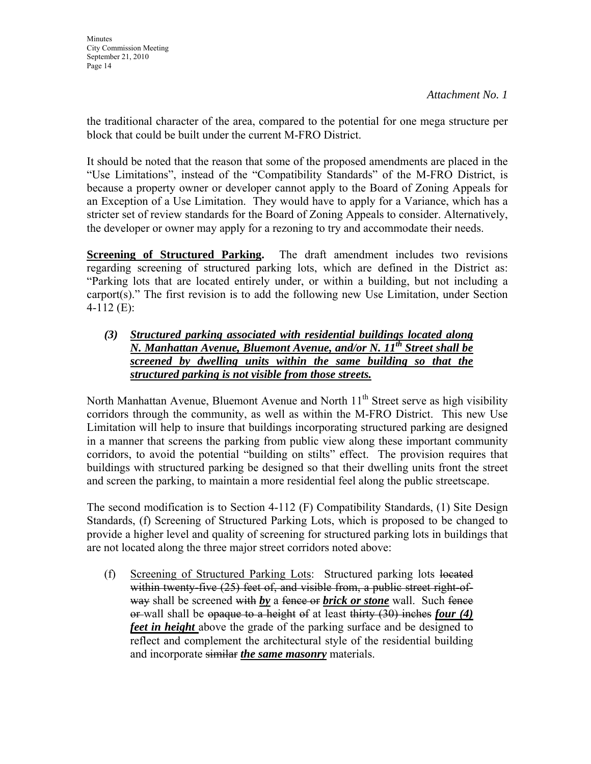the traditional character of the area, compared to the potential for one mega structure per block that could be built under the current M-FRO District.

It should be noted that the reason that some of the proposed amendments are placed in the "Use Limitations", instead of the "Compatibility Standards" of the M-FRO District, is because a property owner or developer cannot apply to the Board of Zoning Appeals for an Exception of a Use Limitation. They would have to apply for a Variance, which has a stricter set of review standards for the Board of Zoning Appeals to consider. Alternatively, the developer or owner may apply for a rezoning to try and accommodate their needs.

**Screening of Structured Parking.** The draft amendment includes two revisions regarding screening of structured parking lots, which are defined in the District as: "Parking lots that are located entirely under, or within a building, but not including a carport(s)." The first revision is to add the following new Use Limitation, under Section 4-112 (E):

*(3) Structured parking associated with residential buildings located along N. Manhattan Avenue, Bluemont Avenue, and/or N. 11th Street shall be screened by dwelling units within the same building so that the structured parking is not visible from those streets.*

North Manhattan Avenue, Bluemont Avenue and North 11<sup>th</sup> Street serve as high visibility corridors through the community, as well as within the M-FRO District. This new Use Limitation will help to insure that buildings incorporating structured parking are designed in a manner that screens the parking from public view along these important community corridors, to avoid the potential "building on stilts" effect. The provision requires that buildings with structured parking be designed so that their dwelling units front the street and screen the parking, to maintain a more residential feel along the public streetscape.

The second modification is to Section 4-112 (F) Compatibility Standards, (1) Site Design Standards, (f) Screening of Structured Parking Lots, which is proposed to be changed to provide a higher level and quality of screening for structured parking lots in buildings that are not located along the three major street corridors noted above:

(f) Screening of Structured Parking Lots: Structured parking lots located within twenty-five (25) feet of, and visible from, a public street right-ofway shall be screened with *by* a fence or *brick or stone* wall. Such fence or wall shall be opaque to a height of at least thirty (30) inches *four (4) feet in height* above the grade of the parking surface and be designed to reflect and complement the architectural style of the residential building and incorporate similar *the same masonry* materials.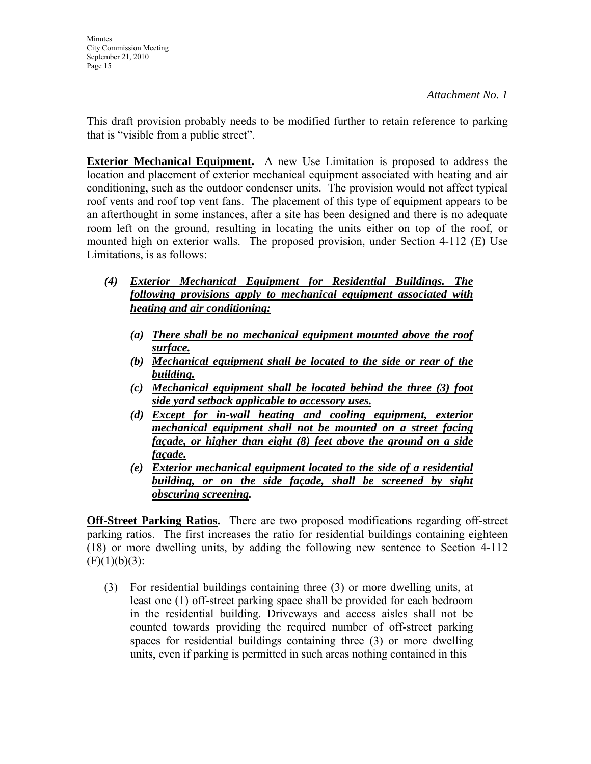This draft provision probably needs to be modified further to retain reference to parking that is "visible from a public street".

**Exterior Mechanical Equipment.** A new Use Limitation is proposed to address the location and placement of exterior mechanical equipment associated with heating and air conditioning, such as the outdoor condenser units. The provision would not affect typical roof vents and roof top vent fans. The placement of this type of equipment appears to be an afterthought in some instances, after a site has been designed and there is no adequate room left on the ground, resulting in locating the units either on top of the roof, or mounted high on exterior walls. The proposed provision, under Section 4-112 (E) Use Limitations, is as follows:

- *(4) Exterior Mechanical Equipment for Residential Buildings. The following provisions apply to mechanical equipment associated with heating and air conditioning:*
	- *(a) There shall be no mechanical equipment mounted above the roof surface.*
	- *(b) Mechanical equipment shall be located to the side or rear of the building.*
	- *(c) Mechanical equipment shall be located behind the three (3) foot side yard setback applicable to accessory uses.*
	- *(d) Except for in-wall heating and cooling equipment, exterior mechanical equipment shall not be mounted on a street facing façade, or higher than eight (8) feet above the ground on a side façade.*
	- *(e) Exterior mechanical equipment located to the side of a residential building, or on the side façade, shall be screened by sight obscuring screening.*

**Off-Street Parking Ratios.** There are two proposed modifications regarding off-street parking ratios. The first increases the ratio for residential buildings containing eighteen (18) or more dwelling units, by adding the following new sentence to Section 4-112  $(F)(1)(b)(3)$ :

(3) For residential buildings containing three (3) or more dwelling units, at least one (1) off-street parking space shall be provided for each bedroom in the residential building. Driveways and access aisles shall not be counted towards providing the required number of off-street parking spaces for residential buildings containing three (3) or more dwelling units, even if parking is permitted in such areas nothing contained in this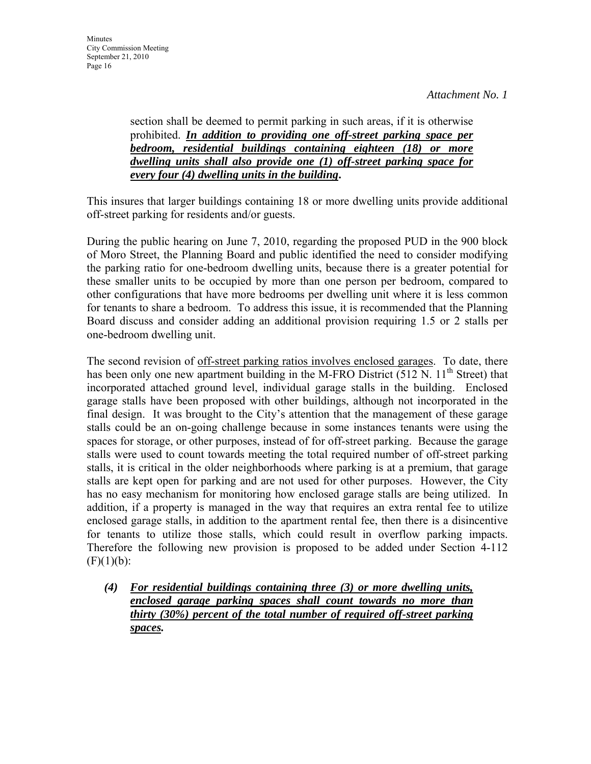section shall be deemed to permit parking in such areas, if it is otherwise prohibited. *In addition to providing one off-street parking space per bedroom, residential buildings containing eighteen (18) or more dwelling units shall also provide one (1) off-street parking space for every four (4) dwelling units in the building***.**

This insures that larger buildings containing 18 or more dwelling units provide additional off-street parking for residents and/or guests.

During the public hearing on June 7, 2010, regarding the proposed PUD in the 900 block of Moro Street, the Planning Board and public identified the need to consider modifying the parking ratio for one-bedroom dwelling units, because there is a greater potential for these smaller units to be occupied by more than one person per bedroom, compared to other configurations that have more bedrooms per dwelling unit where it is less common for tenants to share a bedroom. To address this issue, it is recommended that the Planning Board discuss and consider adding an additional provision requiring 1.5 or 2 stalls per one-bedroom dwelling unit.

The second revision of off-street parking ratios involves enclosed garages. To date, there has been only one new apartment building in the M-FRO District  $(512 \text{ N}$ .  $11^{\text{th}}$  Street) that incorporated attached ground level, individual garage stalls in the building. Enclosed garage stalls have been proposed with other buildings, although not incorporated in the final design. It was brought to the City's attention that the management of these garage stalls could be an on-going challenge because in some instances tenants were using the spaces for storage, or other purposes, instead of for off-street parking. Because the garage stalls were used to count towards meeting the total required number of off-street parking stalls, it is critical in the older neighborhoods where parking is at a premium, that garage stalls are kept open for parking and are not used for other purposes. However, the City has no easy mechanism for monitoring how enclosed garage stalls are being utilized. In addition, if a property is managed in the way that requires an extra rental fee to utilize enclosed garage stalls, in addition to the apartment rental fee, then there is a disincentive for tenants to utilize those stalls, which could result in overflow parking impacts. Therefore the following new provision is proposed to be added under Section 4-112  $(F)(1)(b)$ :

*(4) For residential buildings containing three (3) or more dwelling units, enclosed garage parking spaces shall count towards no more than thirty (30%) percent of the total number of required off-street parking spaces.*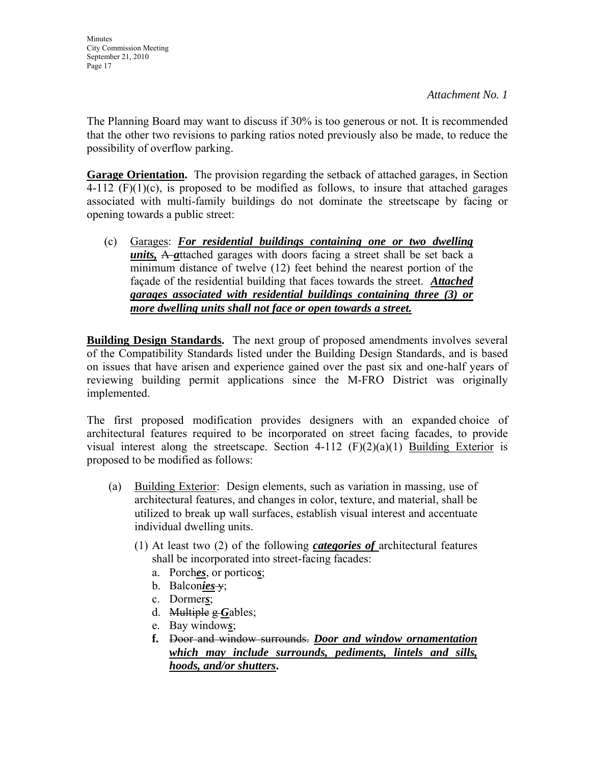The Planning Board may want to discuss if 30% is too generous or not. It is recommended that the other two revisions to parking ratios noted previously also be made, to reduce the possibility of overflow parking.

**Garage Orientation.** The provision regarding the setback of attached garages, in Section  $4-112$  (F)(1)(c), is proposed to be modified as follows, to insure that attached garages associated with multi-family buildings do not dominate the streetscape by facing or opening towards a public street:

(c) Garages: *For residential buildings containing one or two dwelling units,* A *a*ttached garages with doors facing a street shall be set back a minimum distance of twelve (12) feet behind the nearest portion of the façade of the residential building that faces towards the street. *Attached garages associated with residential buildings containing three (3) or more dwelling units shall not face or open towards a street.*

**Building Design Standards.** The next group of proposed amendments involves several of the Compatibility Standards listed under the Building Design Standards, and is based on issues that have arisen and experience gained over the past six and one-half years of reviewing building permit applications since the M-FRO District was originally implemented.

The first proposed modification provides designers with an expanded choice of architectural features required to be incorporated on street facing facades, to provide visual interest along the streetscape. Section 4-112  $(F)(2)(a)(1)$  Building Exterior is proposed to be modified as follows:

- (a) Building Exterior: Design elements, such as variation in massing, use of architectural features, and changes in color, texture, and material, shall be utilized to break up wall surfaces, establish visual interest and accentuate individual dwelling units.
	- (1) At least two (2) of the following *categories of* architectural features shall be incorporated into street-facing facades:
		- a. Porch*es*, or portico*s*;
		- b. Balcon*ies* y;
		- c. Dormer*s*;
		- d. Multiple g-Gables;
		- e. Bay window*s*;
		- **f.** Door and window surrounds. *Door and window ornamentation which may include surrounds, pediments, lintels and sills, hoods, and/or shutters***.**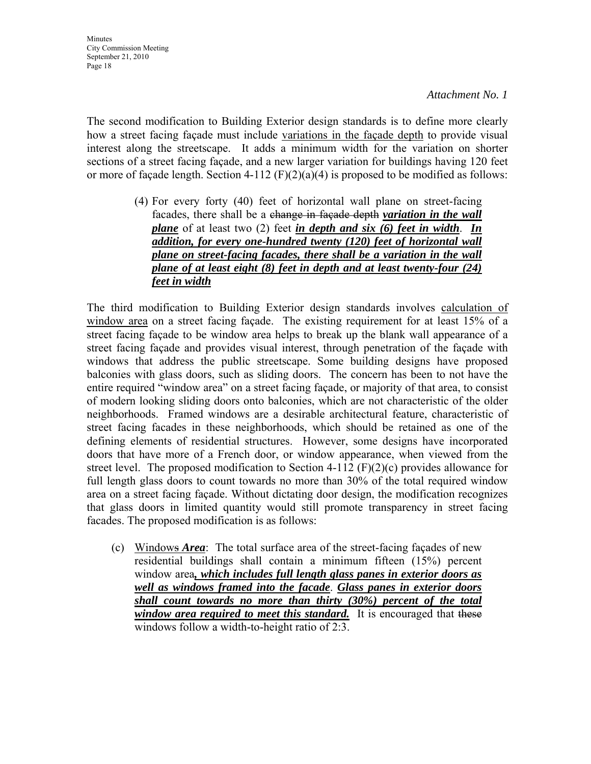The second modification to Building Exterior design standards is to define more clearly how a street facing façade must include variations in the façade depth to provide visual interest along the streetscape. It adds a minimum width for the variation on shorter sections of a street facing façade, and a new larger variation for buildings having 120 feet or more of façade length. Section 4-112  $(F)(2)(a)(4)$  is proposed to be modified as follows:

> (4) For every forty (40) feet of horizontal wall plane on street-facing facades, there shall be a change in façade depth *variation in the wall plane* of at least two (2) feet *in depth and six (6) feet in width*. *In addition, for every one-hundred twenty (120) feet of horizontal wall plane on street-facing facades, there shall be a variation in the wall plane of at least eight (8) feet in depth and at least twenty-four (24) feet in width*

The third modification to Building Exterior design standards involves calculation of window area on a street facing façade. The existing requirement for at least 15% of a street facing façade to be window area helps to break up the blank wall appearance of a street facing façade and provides visual interest, through penetration of the façade with windows that address the public streetscape. Some building designs have proposed balconies with glass doors, such as sliding doors. The concern has been to not have the entire required "window area" on a street facing façade, or majority of that area, to consist of modern looking sliding doors onto balconies, which are not characteristic of the older neighborhoods. Framed windows are a desirable architectural feature, characteristic of street facing facades in these neighborhoods, which should be retained as one of the defining elements of residential structures. However, some designs have incorporated doors that have more of a French door, or window appearance, when viewed from the street level. The proposed modification to Section 4-112  $(F)(2)(c)$  provides allowance for full length glass doors to count towards no more than 30% of the total required window area on a street facing façade. Without dictating door design, the modification recognizes that glass doors in limited quantity would still promote transparency in street facing facades. The proposed modification is as follows:

 (c) Windows *Area*: The total surface area of the street-facing façades of new residential buildings shall contain a minimum fifteen (15%) percent window area*, which includes full length glass panes in exterior doors as well as windows framed into the facade*. *Glass panes in exterior doors shall count towards no more than thirty (30%) percent of the total window area required to meet this standard.* It is encouraged that these windows follow a width-to-height ratio of 2:3.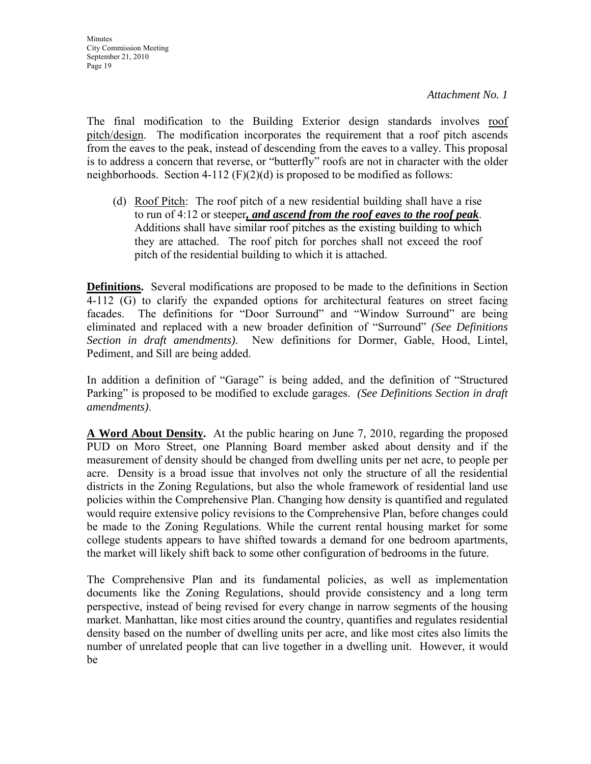The final modification to the Building Exterior design standards involves roof pitch/design. The modification incorporates the requirement that a roof pitch ascends from the eaves to the peak, instead of descending from the eaves to a valley. This proposal is to address a concern that reverse, or "butterfly" roofs are not in character with the older neighborhoods. Section 4-112  $(F)(2)(d)$  is proposed to be modified as follows:

(d) Roof Pitch: The roof pitch of a new residential building shall have a rise to run of 4:12 or steeper*, and ascend from the roof eaves to the roof peak*. Additions shall have similar roof pitches as the existing building to which they are attached. The roof pitch for porches shall not exceed the roof pitch of the residential building to which it is attached.

**Definitions.** Several modifications are proposed to be made to the definitions in Section 4-112 (G) to clarify the expanded options for architectural features on street facing facades. The definitions for "Door Surround" and "Window Surround" are being eliminated and replaced with a new broader definition of "Surround" *(See Definitions Section in draft amendments)*. New definitions for Dormer, Gable, Hood, Lintel, Pediment, and Sill are being added.

In addition a definition of "Garage" is being added, and the definition of "Structured Parking" is proposed to be modified to exclude garages. *(See Definitions Section in draft amendments)*.

**A Word About Density.** At the public hearing on June 7, 2010, regarding the proposed PUD on Moro Street, one Planning Board member asked about density and if the measurement of density should be changed from dwelling units per net acre, to people per acre. Density is a broad issue that involves not only the structure of all the residential districts in the Zoning Regulations, but also the whole framework of residential land use policies within the Comprehensive Plan. Changing how density is quantified and regulated would require extensive policy revisions to the Comprehensive Plan, before changes could be made to the Zoning Regulations. While the current rental housing market for some college students appears to have shifted towards a demand for one bedroom apartments, the market will likely shift back to some other configuration of bedrooms in the future.

The Comprehensive Plan and its fundamental policies, as well as implementation documents like the Zoning Regulations, should provide consistency and a long term perspective, instead of being revised for every change in narrow segments of the housing market. Manhattan, like most cities around the country, quantifies and regulates residential density based on the number of dwelling units per acre, and like most cites also limits the number of unrelated people that can live together in a dwelling unit. However, it would be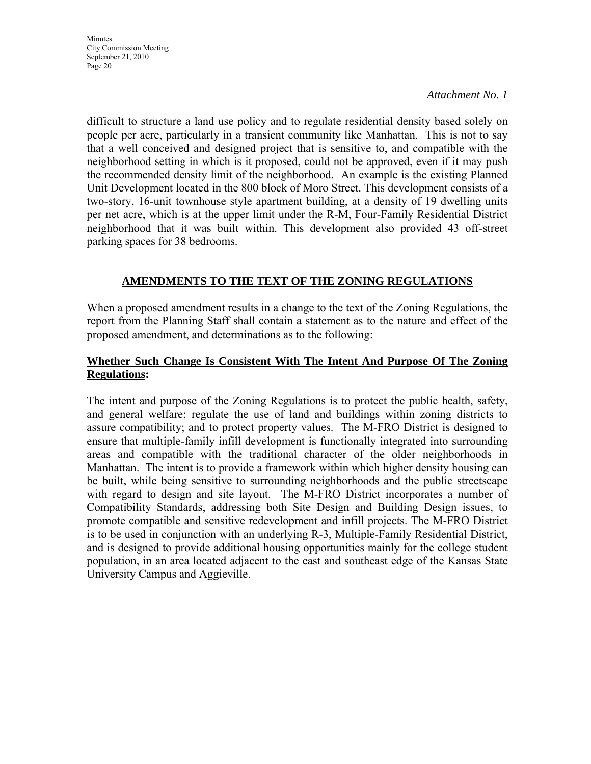difficult to structure a land use policy and to regulate residential density based solely on people per acre, particularly in a transient community like Manhattan. This is not to say that a well conceived and designed project that is sensitive to, and compatible with the neighborhood setting in which is it proposed, could not be approved, even if it may push the recommended density limit of the neighborhood. An example is the existing Planned Unit Development located in the 800 block of Moro Street. This development consists of a two-story, 16-unit townhouse style apartment building, at a density of 19 dwelling units per net acre, which is at the upper limit under the R-M, Four-Family Residential District neighborhood that it was built within. This development also provided 43 off-street parking spaces for 38 bedrooms.

# **AMENDMENTS TO THE TEXT OF THE ZONING REGULATIONS**

When a proposed amendment results in a change to the text of the Zoning Regulations, the report from the Planning Staff shall contain a statement as to the nature and effect of the proposed amendment, and determinations as to the following:

# **Whether Such Change Is Consistent With The Intent And Purpose Of The Zoning Regulations:**

The intent and purpose of the Zoning Regulations is to protect the public health, safety, and general welfare; regulate the use of land and buildings within zoning districts to assure compatibility; and to protect property values. The M-FRO District is designed to ensure that multiple-family infill development is functionally integrated into surrounding areas and compatible with the traditional character of the older neighborhoods in Manhattan. The intent is to provide a framework within which higher density housing can be built, while being sensitive to surrounding neighborhoods and the public streetscape with regard to design and site layout. The M-FRO District incorporates a number of Compatibility Standards, addressing both Site Design and Building Design issues, to promote compatible and sensitive redevelopment and infill projects. The M-FRO District is to be used in conjunction with an underlying R-3, Multiple-Family Residential District, and is designed to provide additional housing opportunities mainly for the college student population, in an area located adjacent to the east and southeast edge of the Kansas State University Campus and Aggieville.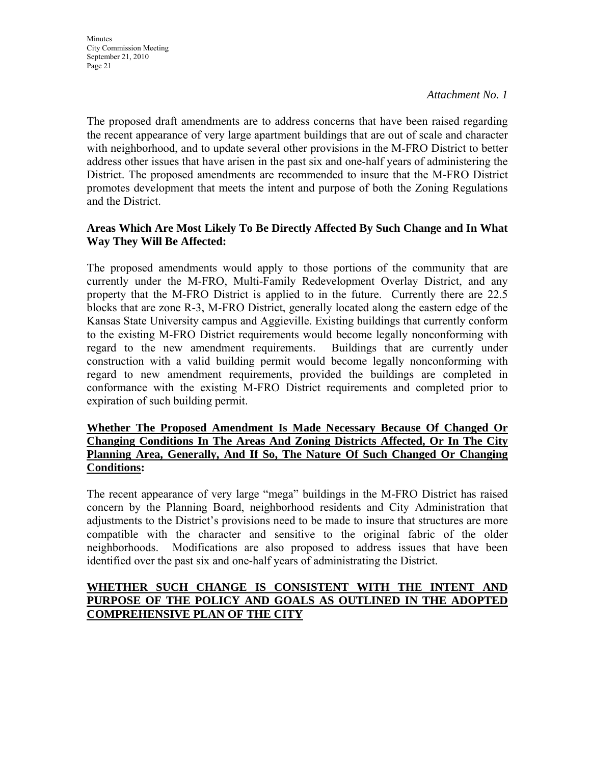**Minutes** City Commission Meeting September 21, 2010 Page 21

The proposed draft amendments are to address concerns that have been raised regarding the recent appearance of very large apartment buildings that are out of scale and character with neighborhood, and to update several other provisions in the M-FRO District to better address other issues that have arisen in the past six and one-half years of administering the District. The proposed amendments are recommended to insure that the M-FRO District promotes development that meets the intent and purpose of both the Zoning Regulations and the District.

# **Areas Which Are Most Likely To Be Directly Affected By Such Change and In What Way They Will Be Affected:**

The proposed amendments would apply to those portions of the community that are currently under the M-FRO, Multi-Family Redevelopment Overlay District, and any property that the M-FRO District is applied to in the future. Currently there are 22.5 blocks that are zone R-3, M-FRO District, generally located along the eastern edge of the Kansas State University campus and Aggieville. Existing buildings that currently conform to the existing M-FRO District requirements would become legally nonconforming with regard to the new amendment requirements. Buildings that are currently under construction with a valid building permit would become legally nonconforming with regard to new amendment requirements, provided the buildings are completed in conformance with the existing M-FRO District requirements and completed prior to expiration of such building permit.

### **Whether The Proposed Amendment Is Made Necessary Because Of Changed Or Changing Conditions In The Areas And Zoning Districts Affected, Or In The City Planning Area, Generally, And If So, The Nature Of Such Changed Or Changing Conditions:**

The recent appearance of very large "mega" buildings in the M-FRO District has raised concern by the Planning Board, neighborhood residents and City Administration that adjustments to the District's provisions need to be made to insure that structures are more compatible with the character and sensitive to the original fabric of the older neighborhoods. Modifications are also proposed to address issues that have been identified over the past six and one-half years of administrating the District.

# **WHETHER SUCH CHANGE IS CONSISTENT WITH THE INTENT AND PURPOSE OF THE POLICY AND GOALS AS OUTLINED IN THE ADOPTED COMPREHENSIVE PLAN OF THE CITY**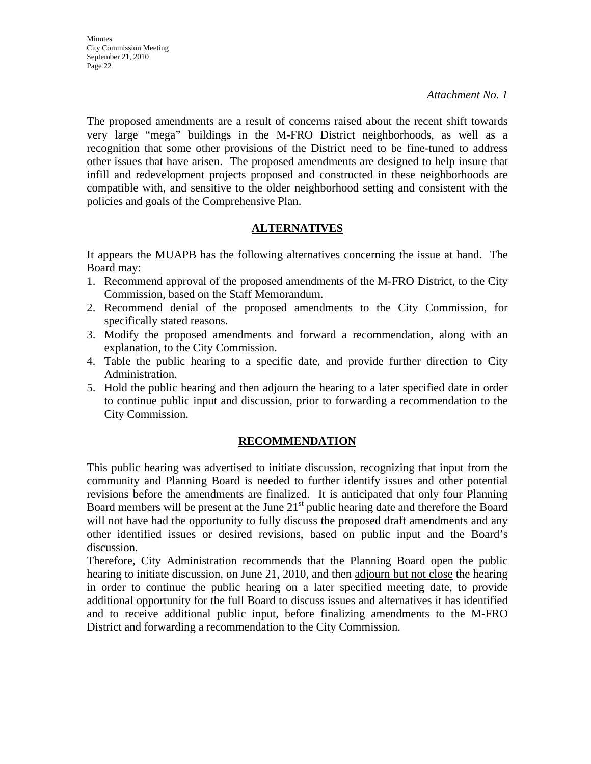The proposed amendments are a result of concerns raised about the recent shift towards very large "mega" buildings in the M-FRO District neighborhoods, as well as a recognition that some other provisions of the District need to be fine-tuned to address other issues that have arisen. The proposed amendments are designed to help insure that infill and redevelopment projects proposed and constructed in these neighborhoods are compatible with, and sensitive to the older neighborhood setting and consistent with the policies and goals of the Comprehensive Plan.

# **ALTERNATIVES**

It appears the MUAPB has the following alternatives concerning the issue at hand. The Board may:

- 1. Recommend approval of the proposed amendments of the M-FRO District, to the City Commission, based on the Staff Memorandum.
- 2. Recommend denial of the proposed amendments to the City Commission, for specifically stated reasons.
- 3. Modify the proposed amendments and forward a recommendation, along with an explanation, to the City Commission.
- 4. Table the public hearing to a specific date, and provide further direction to City Administration.
- 5. Hold the public hearing and then adjourn the hearing to a later specified date in order to continue public input and discussion, prior to forwarding a recommendation to the City Commission.

# **RECOMMENDATION**

This public hearing was advertised to initiate discussion, recognizing that input from the community and Planning Board is needed to further identify issues and other potential revisions before the amendments are finalized. It is anticipated that only four Planning Board members will be present at the June  $21<sup>st</sup>$  public hearing date and therefore the Board will not have had the opportunity to fully discuss the proposed draft amendments and any other identified issues or desired revisions, based on public input and the Board's discussion.

Therefore, City Administration recommends that the Planning Board open the public hearing to initiate discussion, on June 21, 2010, and then adjourn but not close the hearing in order to continue the public hearing on a later specified meeting date, to provide additional opportunity for the full Board to discuss issues and alternatives it has identified and to receive additional public input, before finalizing amendments to the M-FRO District and forwarding a recommendation to the City Commission.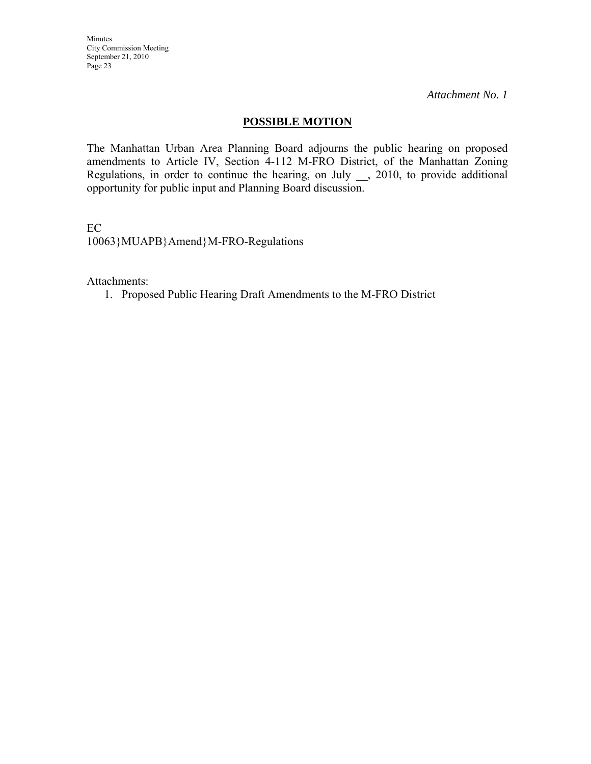Minutes City Commission Meeting September 21, 2010 Page 23

*Attachment No. 1* 

# **POSSIBLE MOTION**

The Manhattan Urban Area Planning Board adjourns the public hearing on proposed amendments to Article IV, Section 4-112 M-FRO District, of the Manhattan Zoning Regulations, in order to continue the hearing, on July \_\_, 2010, to provide additional opportunity for public input and Planning Board discussion.

EC

10063}MUAPB}Amend}M-FRO-Regulations

Attachments:

1. Proposed Public Hearing Draft Amendments to the M-FRO District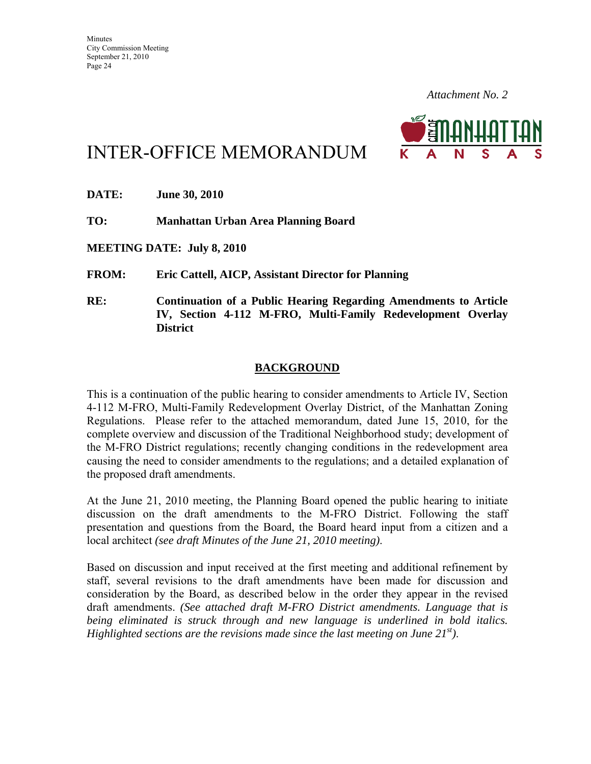

# INTER-OFFICE MEMORANDUM

**DATE: June 30, 2010** 

**TO: Manhattan Urban Area Planning Board** 

**MEETING DATE: July 8, 2010** 

**FROM: Eric Cattell, AICP, Assistant Director for Planning** 

**RE: Continuation of a Public Hearing Regarding Amendments to Article IV, Section 4-112 M-FRO, Multi-Family Redevelopment Overlay District** 

# **BACKGROUND**

This is a continuation of the public hearing to consider amendments to Article IV, Section 4-112 M-FRO, Multi-Family Redevelopment Overlay District, of the Manhattan Zoning Regulations. Please refer to the attached memorandum, dated June 15, 2010, for the complete overview and discussion of the Traditional Neighborhood study; development of the M-FRO District regulations; recently changing conditions in the redevelopment area causing the need to consider amendments to the regulations; and a detailed explanation of the proposed draft amendments.

At the June 21, 2010 meeting, the Planning Board opened the public hearing to initiate discussion on the draft amendments to the M-FRO District. Following the staff presentation and questions from the Board, the Board heard input from a citizen and a local architect *(see draft Minutes of the June 21, 2010 meeting)*.

Based on discussion and input received at the first meeting and additional refinement by staff, several revisions to the draft amendments have been made for discussion and consideration by the Board, as described below in the order they appear in the revised draft amendments. *(See attached draft M-FRO District amendments. Language that is being eliminated is struck through and new language is underlined in bold italics. Highlighted sections are the revisions made since the last meeting on June 21st)*.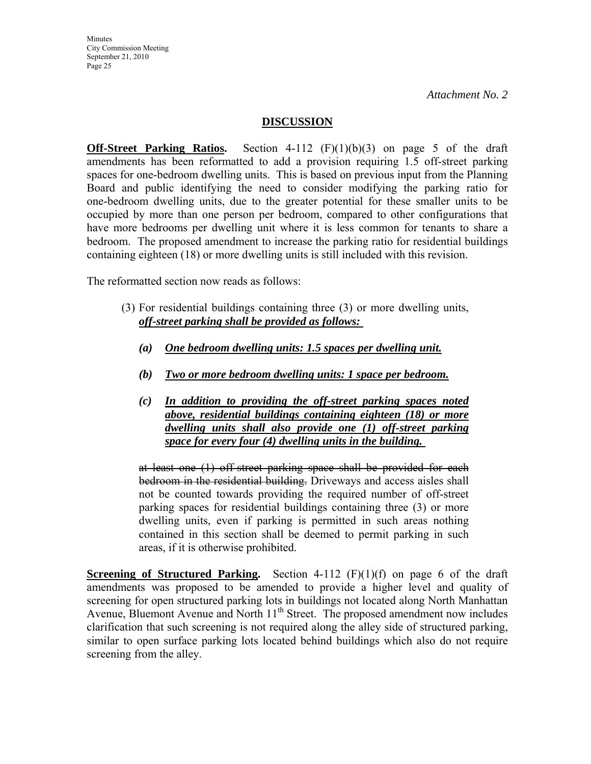**Minutes** City Commission Meeting September 21, 2010 Page 25

*Attachment No. 2* 

### **DISCUSSION**

**Off-Street Parking Ratios.** Section 4-112 (F)(1)(b)(3) on page 5 of the draft amendments has been reformatted to add a provision requiring 1.5 off-street parking spaces for one-bedroom dwelling units. This is based on previous input from the Planning Board and public identifying the need to consider modifying the parking ratio for one-bedroom dwelling units, due to the greater potential for these smaller units to be occupied by more than one person per bedroom, compared to other configurations that have more bedrooms per dwelling unit where it is less common for tenants to share a bedroom. The proposed amendment to increase the parking ratio for residential buildings containing eighteen (18) or more dwelling units is still included with this revision.

The reformatted section now reads as follows:

- (3) For residential buildings containing three (3) or more dwelling units, *off-street parking shall be provided as follows:* 
	- *(a) One bedroom dwelling units: 1.5 spaces per dwelling unit.*
	- *(b) Two or more bedroom dwelling units: 1 space per bedroom.*
	- *(c) In addition to providing the off-street parking spaces noted above, residential buildings containing eighteen (18) or more dwelling units shall also provide one (1) off-street parking space for every four (4) dwelling units in the building.*

at least one (1) off-street parking space shall be provided for each bedroom in the residential building. Driveways and access aisles shall not be counted towards providing the required number of off-street parking spaces for residential buildings containing three (3) or more dwelling units, even if parking is permitted in such areas nothing contained in this section shall be deemed to permit parking in such areas, if it is otherwise prohibited.

**Screening of Structured Parking.** Section 4-112 (F)(1)(f) on page 6 of the draft amendments was proposed to be amended to provide a higher level and quality of screening for open structured parking lots in buildings not located along North Manhattan Avenue, Bluemont Avenue and North  $11<sup>th</sup>$  Street. The proposed amendment now includes clarification that such screening is not required along the alley side of structured parking, similar to open surface parking lots located behind buildings which also do not require screening from the alley.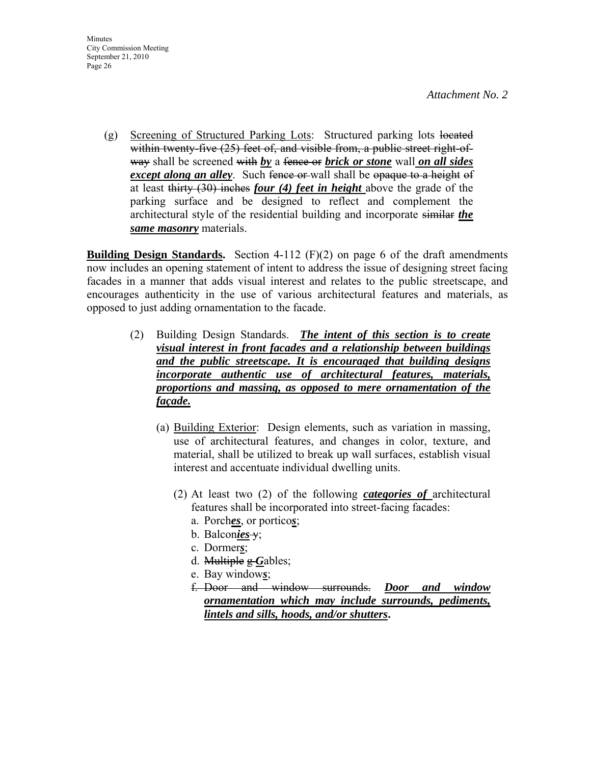(g) Screening of Structured Parking Lots: Structured parking lots located within twenty-five (25) feet of, and visible from, a public street right-ofway shall be screened with *by* a fence or *brick or stone* wall *on all sides except along an alley*. Such fence or wall shall be opaque to a height of at least thirty (30) inches *four (4) feet in height* above the grade of the parking surface and be designed to reflect and complement the architectural style of the residential building and incorporate similar *the same masonry* materials.

**Building Design Standards.** Section 4-112 (F)(2) on page 6 of the draft amendments now includes an opening statement of intent to address the issue of designing street facing facades in a manner that adds visual interest and relates to the public streetscape, and encourages authenticity in the use of various architectural features and materials, as opposed to just adding ornamentation to the facade.

- (2) Building Design Standards. *The intent of this section is to create visual interest in front facades and a relationship between buildings and the public streetscape. It is encouraged that building designs incorporate authentic use of architectural features, materials, proportions and massing, as opposed to mere ornamentation of the façade.*
	- (a) Building Exterior: Design elements, such as variation in massing, use of architectural features, and changes in color, texture, and material, shall be utilized to break up wall surfaces, establish visual interest and accentuate individual dwelling units.
		- (2) At least two (2) of the following *categories of* architectural features shall be incorporated into street-facing facades:
			- a. Porch*es*, or portico*s*;
			- b. Balcon*ies* y;
			- c. Dormer*s*;
			- d. Multiple g *G*ables;
			- e. Bay window*s*;
			- f. Door and window surrounds. *Door and window ornamentation which may include surrounds, pediments, lintels and sills, hoods, and/or shutters***.**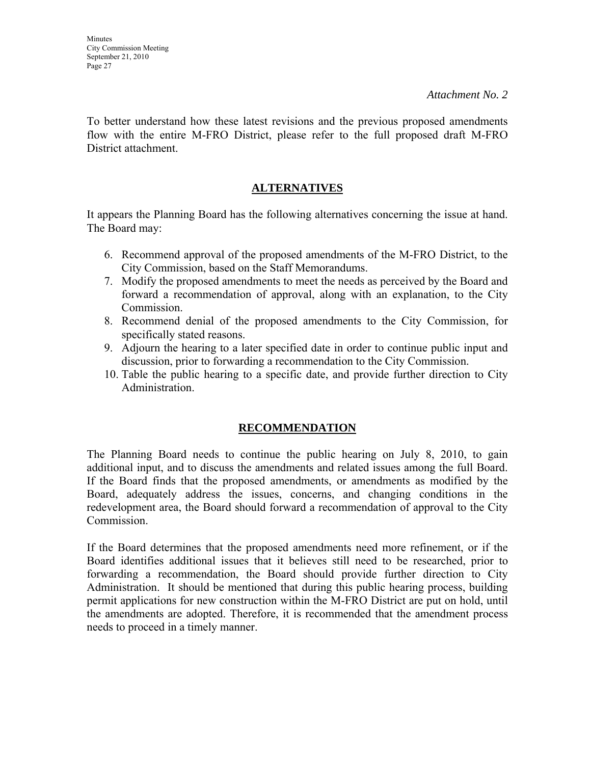To better understand how these latest revisions and the previous proposed amendments flow with the entire M-FRO District, please refer to the full proposed draft M-FRO District attachment.

# **ALTERNATIVES**

It appears the Planning Board has the following alternatives concerning the issue at hand. The Board may:

- 6. Recommend approval of the proposed amendments of the M-FRO District, to the City Commission, based on the Staff Memorandums.
- 7. Modify the proposed amendments to meet the needs as perceived by the Board and forward a recommendation of approval, along with an explanation, to the City Commission.
- 8. Recommend denial of the proposed amendments to the City Commission, for specifically stated reasons.
- 9. Adjourn the hearing to a later specified date in order to continue public input and discussion, prior to forwarding a recommendation to the City Commission.
- 10. Table the public hearing to a specific date, and provide further direction to City Administration.

# **RECOMMENDATION**

The Planning Board needs to continue the public hearing on July 8, 2010, to gain additional input, and to discuss the amendments and related issues among the full Board. If the Board finds that the proposed amendments, or amendments as modified by the Board, adequately address the issues, concerns, and changing conditions in the redevelopment area, the Board should forward a recommendation of approval to the City Commission.

If the Board determines that the proposed amendments need more refinement, or if the Board identifies additional issues that it believes still need to be researched, prior to forwarding a recommendation, the Board should provide further direction to City Administration. It should be mentioned that during this public hearing process, building permit applications for new construction within the M-FRO District are put on hold, until the amendments are adopted. Therefore, it is recommended that the amendment process needs to proceed in a timely manner.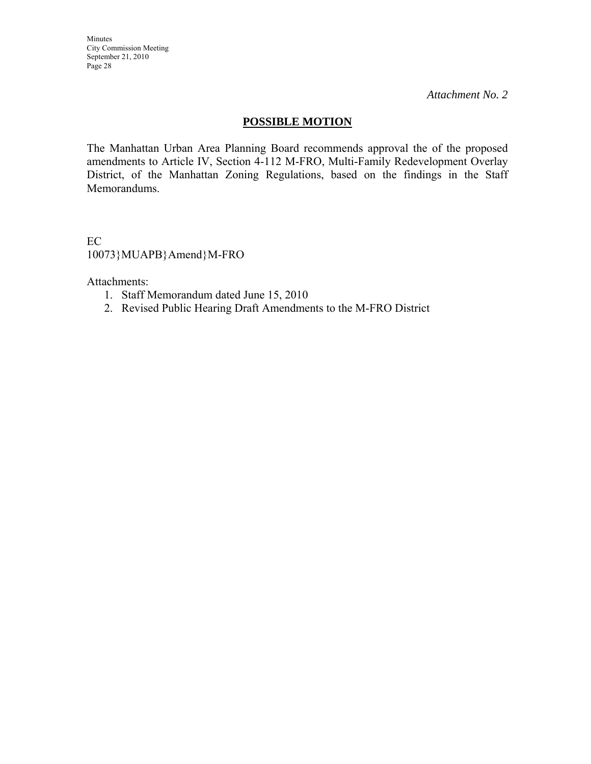Minutes City Commission Meeting September 21, 2010 Page 28

*Attachment No. 2* 

# **POSSIBLE MOTION**

The Manhattan Urban Area Planning Board recommends approval the of the proposed amendments to Article IV, Section 4-112 M-FRO, Multi-Family Redevelopment Overlay District, of the Manhattan Zoning Regulations, based on the findings in the Staff Memorandums.

EC 10073}MUAPB}Amend}M-FRO

Attachments:

- 1. Staff Memorandum dated June 15, 2010
- 2. Revised Public Hearing Draft Amendments to the M-FRO District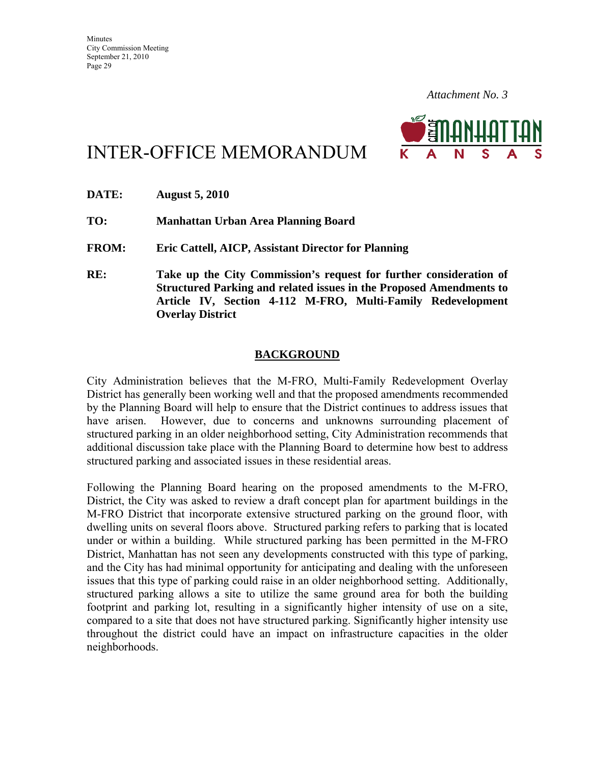

# INTER-OFFICE MEMORANDUM

| <b>DATE:</b> | <b>August 5, 2010</b>                                                                                                                                                                                                                      |
|--------------|--------------------------------------------------------------------------------------------------------------------------------------------------------------------------------------------------------------------------------------------|
| TO:          | Manhattan Urban Area Planning Board                                                                                                                                                                                                        |
| <b>FROM:</b> | Eric Cattell, AICP, Assistant Director for Planning                                                                                                                                                                                        |
| RE:          | Take up the City Commission's request for further consideration of<br><b>Structured Parking and related issues in the Proposed Amendments to</b><br>Article IV, Section 4-112 M-FRO, Multi-Family Redevelopment<br><b>Overlay District</b> |

### **BACKGROUND**

City Administration believes that the M-FRO, Multi-Family Redevelopment Overlay District has generally been working well and that the proposed amendments recommended by the Planning Board will help to ensure that the District continues to address issues that have arisen. However, due to concerns and unknowns surrounding placement of structured parking in an older neighborhood setting, City Administration recommends that additional discussion take place with the Planning Board to determine how best to address structured parking and associated issues in these residential areas.

Following the Planning Board hearing on the proposed amendments to the M-FRO, District, the City was asked to review a draft concept plan for apartment buildings in the M-FRO District that incorporate extensive structured parking on the ground floor, with dwelling units on several floors above. Structured parking refers to parking that is located under or within a building. While structured parking has been permitted in the M-FRO District, Manhattan has not seen any developments constructed with this type of parking, and the City has had minimal opportunity for anticipating and dealing with the unforeseen issues that this type of parking could raise in an older neighborhood setting. Additionally, structured parking allows a site to utilize the same ground area for both the building footprint and parking lot, resulting in a significantly higher intensity of use on a site, compared to a site that does not have structured parking. Significantly higher intensity use throughout the district could have an impact on infrastructure capacities in the older neighborhoods.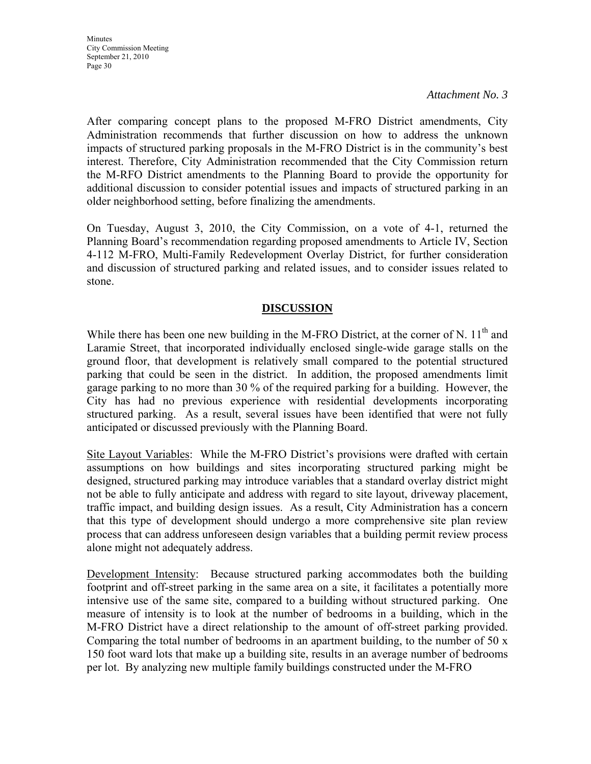After comparing concept plans to the proposed M-FRO District amendments, City Administration recommends that further discussion on how to address the unknown impacts of structured parking proposals in the M-FRO District is in the community's best interest. Therefore, City Administration recommended that the City Commission return the M-RFO District amendments to the Planning Board to provide the opportunity for additional discussion to consider potential issues and impacts of structured parking in an older neighborhood setting, before finalizing the amendments.

On Tuesday, August 3, 2010, the City Commission, on a vote of 4-1, returned the Planning Board's recommendation regarding proposed amendments to Article IV, Section 4-112 M-FRO, Multi-Family Redevelopment Overlay District, for further consideration and discussion of structured parking and related issues, and to consider issues related to stone.

# **DISCUSSION**

While there has been one new building in the M-FRO District, at the corner of N.  $11<sup>th</sup>$  and Laramie Street, that incorporated individually enclosed single-wide garage stalls on the ground floor, that development is relatively small compared to the potential structured parking that could be seen in the district. In addition, the proposed amendments limit garage parking to no more than 30 % of the required parking for a building. However, the City has had no previous experience with residential developments incorporating structured parking. As a result, several issues have been identified that were not fully anticipated or discussed previously with the Planning Board.

Site Layout Variables: While the M-FRO District's provisions were drafted with certain assumptions on how buildings and sites incorporating structured parking might be designed, structured parking may introduce variables that a standard overlay district might not be able to fully anticipate and address with regard to site layout, driveway placement, traffic impact, and building design issues. As a result, City Administration has a concern that this type of development should undergo a more comprehensive site plan review process that can address unforeseen design variables that a building permit review process alone might not adequately address.

Development Intensity: Because structured parking accommodates both the building footprint and off-street parking in the same area on a site, it facilitates a potentially more intensive use of the same site, compared to a building without structured parking. One measure of intensity is to look at the number of bedrooms in a building, which in the M-FRO District have a direct relationship to the amount of off-street parking provided. Comparing the total number of bedrooms in an apartment building, to the number of 50  $x$ 150 foot ward lots that make up a building site, results in an average number of bedrooms per lot. By analyzing new multiple family buildings constructed under the M-FRO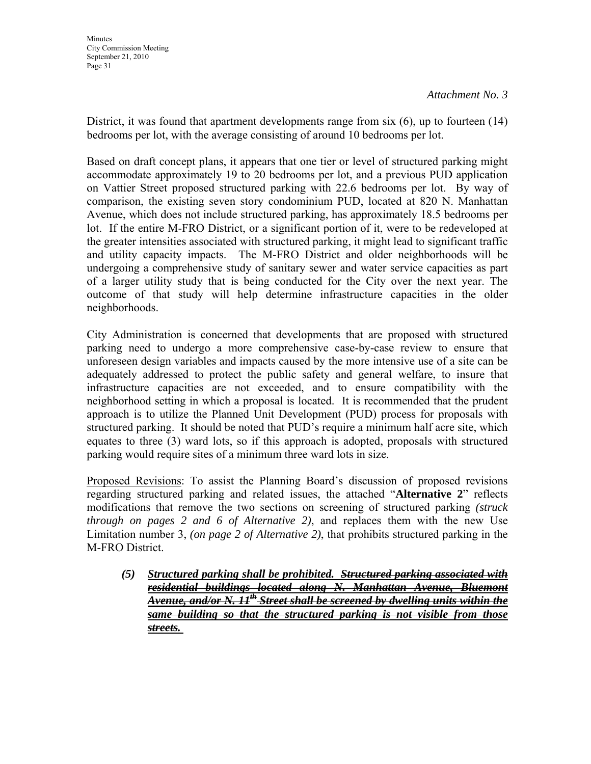District, it was found that apartment developments range from six (6), up to fourteen (14) bedrooms per lot, with the average consisting of around 10 bedrooms per lot.

Based on draft concept plans, it appears that one tier or level of structured parking might accommodate approximately 19 to 20 bedrooms per lot, and a previous PUD application on Vattier Street proposed structured parking with 22.6 bedrooms per lot. By way of comparison, the existing seven story condominium PUD, located at 820 N. Manhattan Avenue, which does not include structured parking, has approximately 18.5 bedrooms per lot. If the entire M-FRO District, or a significant portion of it, were to be redeveloped at the greater intensities associated with structured parking, it might lead to significant traffic and utility capacity impacts. The M-FRO District and older neighborhoods will be undergoing a comprehensive study of sanitary sewer and water service capacities as part of a larger utility study that is being conducted for the City over the next year. The outcome of that study will help determine infrastructure capacities in the older neighborhoods.

City Administration is concerned that developments that are proposed with structured parking need to undergo a more comprehensive case-by-case review to ensure that unforeseen design variables and impacts caused by the more intensive use of a site can be adequately addressed to protect the public safety and general welfare, to insure that infrastructure capacities are not exceeded, and to ensure compatibility with the neighborhood setting in which a proposal is located. It is recommended that the prudent approach is to utilize the Planned Unit Development (PUD) process for proposals with structured parking. It should be noted that PUD's require a minimum half acre site, which equates to three (3) ward lots, so if this approach is adopted, proposals with structured parking would require sites of a minimum three ward lots in size.

Proposed Revisions: To assist the Planning Board's discussion of proposed revisions regarding structured parking and related issues, the attached "**Alternative 2**" reflects modifications that remove the two sections on screening of structured parking *(struck through on pages 2 and 6 of Alternative 2)*, and replaces them with the new Use Limitation number 3, *(on page 2 of Alternative 2)*, that prohibits structured parking in the M-FRO District.

*(5) Structured parking shall be prohibited. Structured parking associated with residential buildings located along N. Manhattan Avenue, Bluemont Avenue, and/or N. 11th Street shall be screened by dwelling units within the same building so that the structured parking is not visible from those streets.*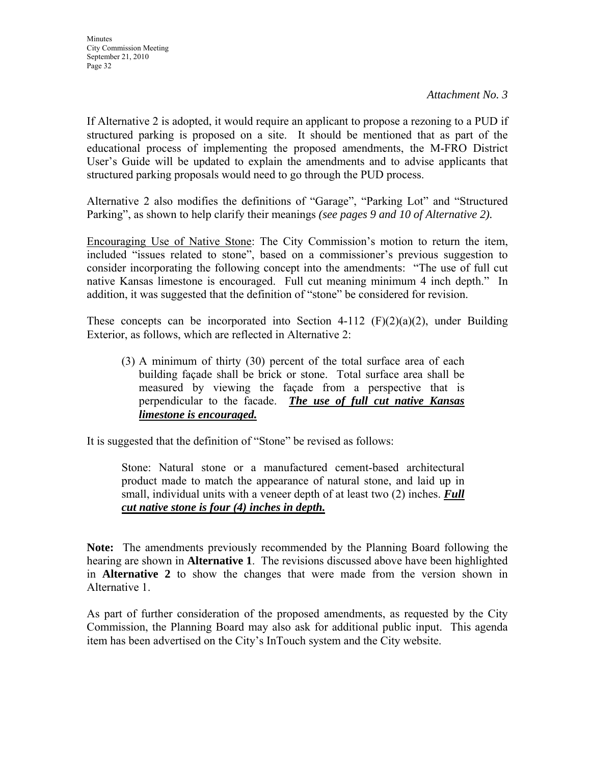If Alternative 2 is adopted, it would require an applicant to propose a rezoning to a PUD if structured parking is proposed on a site. It should be mentioned that as part of the educational process of implementing the proposed amendments, the M-FRO District User's Guide will be updated to explain the amendments and to advise applicants that structured parking proposals would need to go through the PUD process.

Alternative 2 also modifies the definitions of "Garage", "Parking Lot" and "Structured Parking", as shown to help clarify their meanings *(see pages 9 and 10 of Alternative 2).*

Encouraging Use of Native Stone: The City Commission's motion to return the item, included "issues related to stone", based on a commissioner's previous suggestion to consider incorporating the following concept into the amendments: "The use of full cut native Kansas limestone is encouraged. Full cut meaning minimum 4 inch depth." In addition, it was suggested that the definition of "stone" be considered for revision.

These concepts can be incorporated into Section 4-112  $(F)(2)(a)(2)$ , under Building Exterior, as follows, which are reflected in Alternative 2:

(3) A minimum of thirty (30) percent of the total surface area of each building façade shall be brick or stone. Total surface area shall be measured by viewing the façade from a perspective that is perpendicular to the facade. *The use of full cut native Kansas limestone is encouraged.*

It is suggested that the definition of "Stone" be revised as follows:

Stone: Natural stone or a manufactured cement-based architectural product made to match the appearance of natural stone, and laid up in small, individual units with a veneer depth of at least two (2) inches. *Full cut native stone is four (4) inches in depth.*

**Note:** The amendments previously recommended by the Planning Board following the hearing are shown in **Alternative 1**. The revisions discussed above have been highlighted in **Alternative 2** to show the changes that were made from the version shown in Alternative 1.

As part of further consideration of the proposed amendments, as requested by the City Commission, the Planning Board may also ask for additional public input. This agenda item has been advertised on the City's InTouch system and the City website.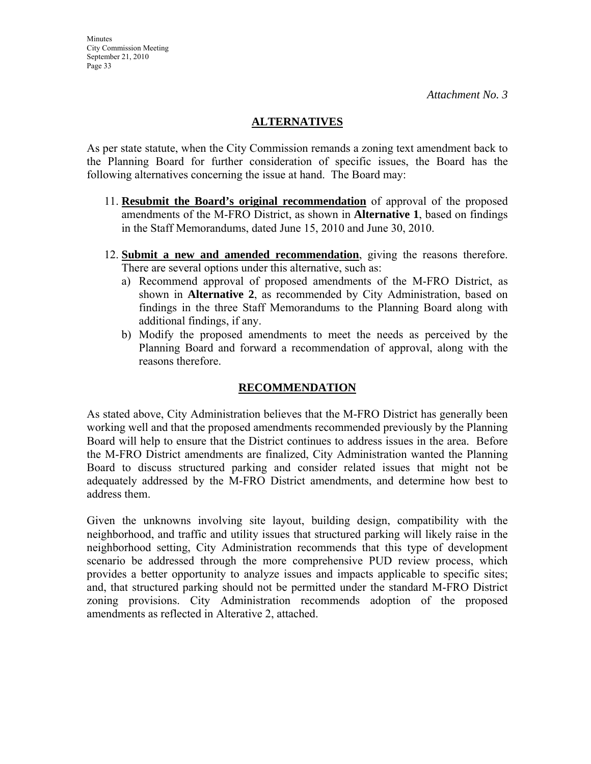# **ALTERNATIVES**

As per state statute, when the City Commission remands a zoning text amendment back to the Planning Board for further consideration of specific issues, the Board has the following alternatives concerning the issue at hand. The Board may:

- 11. **Resubmit the Board's original recommendation** of approval of the proposed amendments of the M-FRO District, as shown in **Alternative 1**, based on findings in the Staff Memorandums, dated June 15, 2010 and June 30, 2010.
- 12. **Submit a new and amended recommendation**, giving the reasons therefore. There are several options under this alternative, such as:
	- a) Recommend approval of proposed amendments of the M-FRO District, as shown in **Alternative 2**, as recommended by City Administration, based on findings in the three Staff Memorandums to the Planning Board along with additional findings, if any.
	- b) Modify the proposed amendments to meet the needs as perceived by the Planning Board and forward a recommendation of approval, along with the reasons therefore.

# **RECOMMENDATION**

As stated above, City Administration believes that the M-FRO District has generally been working well and that the proposed amendments recommended previously by the Planning Board will help to ensure that the District continues to address issues in the area. Before the M-FRO District amendments are finalized, City Administration wanted the Planning Board to discuss structured parking and consider related issues that might not be adequately addressed by the M-FRO District amendments, and determine how best to address them.

Given the unknowns involving site layout, building design, compatibility with the neighborhood, and traffic and utility issues that structured parking will likely raise in the neighborhood setting, City Administration recommends that this type of development scenario be addressed through the more comprehensive PUD review process, which provides a better opportunity to analyze issues and impacts applicable to specific sites; and, that structured parking should not be permitted under the standard M-FRO District zoning provisions. City Administration recommends adoption of the proposed amendments as reflected in Alterative 2, attached.